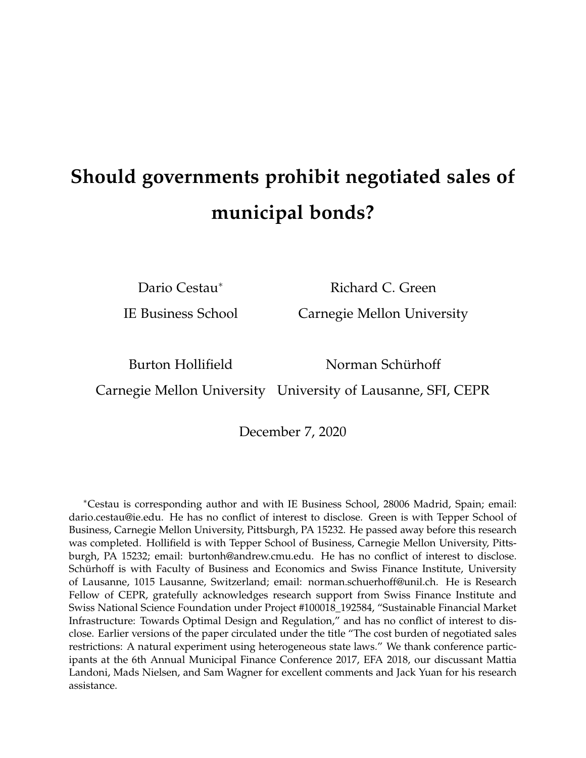# **Should governments prohibit negotiated sales of municipal bonds?**

Dario Cestau<sup>∗</sup> Richard C. Green

IE Business School Carnegie Mellon University

Burton Hollifield Norman Schürhoff

Carnegie Mellon University University of Lausanne, SFI, CEPR

December 7, 2020

<sup>∗</sup>Cestau is corresponding author and with IE Business School, 28006 Madrid, Spain; email: dario.cestau@ie.edu. He has no conflict of interest to disclose. Green is with Tepper School of Business, Carnegie Mellon University, Pittsburgh, PA 15232. He passed away before this research was completed. Hollifield is with Tepper School of Business, Carnegie Mellon University, Pittsburgh, PA 15232; email: burtonh@andrew.cmu.edu. He has no conflict of interest to disclose. Schürhoff is with Faculty of Business and Economics and Swiss Finance Institute, University of Lausanne, 1015 Lausanne, Switzerland; email: norman.schuerhoff@unil.ch. He is Research Fellow of CEPR, gratefully acknowledges research support from Swiss Finance Institute and Swiss National Science Foundation under Project #100018\_192584, "Sustainable Financial Market Infrastructure: Towards Optimal Design and Regulation," and has no conflict of interest to disclose. Earlier versions of the paper circulated under the title "The cost burden of negotiated sales restrictions: A natural experiment using heterogeneous state laws." We thank conference participants at the 6th Annual Municipal Finance Conference 2017, EFA 2018, our discussant Mattia Landoni, Mads Nielsen, and Sam Wagner for excellent comments and Jack Yuan for his research assistance.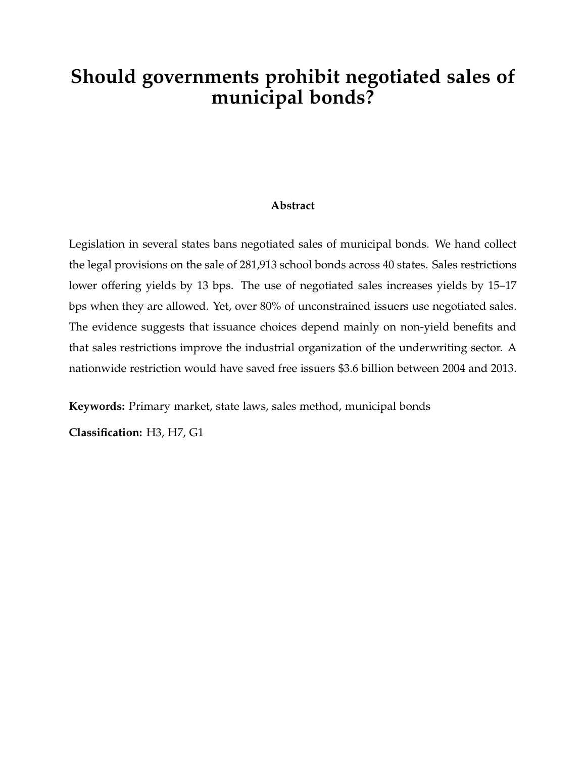## **Should governments prohibit negotiated sales of municipal bonds?**

#### **Abstract**

Legislation in several states bans negotiated sales of municipal bonds. We hand collect the legal provisions on the sale of 281,913 school bonds across 40 states. Sales restrictions lower offering yields by 13 bps. The use of negotiated sales increases yields by 15–17 bps when they are allowed. Yet, over 80% of unconstrained issuers use negotiated sales. The evidence suggests that issuance choices depend mainly on non-yield benefits and that sales restrictions improve the industrial organization of the underwriting sector. A nationwide restriction would have saved free issuers \$3.6 billion between 2004 and 2013.

**Keywords:** Primary market, state laws, sales method, municipal bonds

**Classification:** H3, H7, G1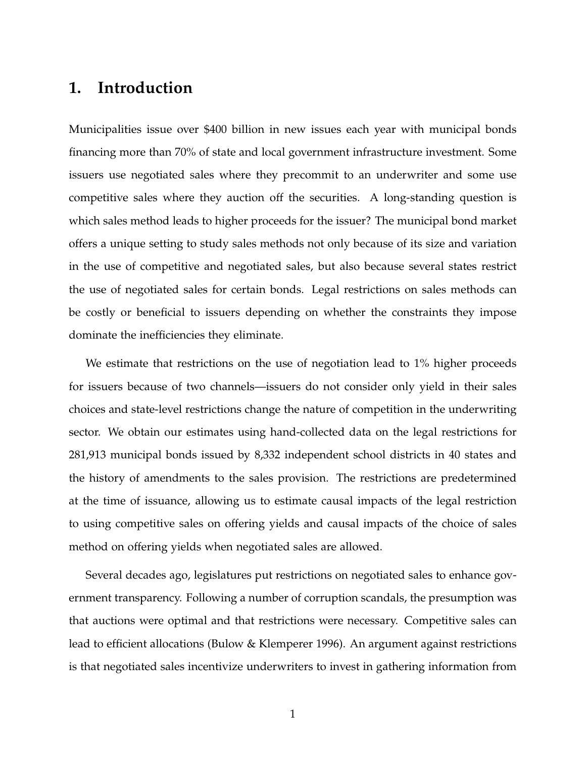### **1. Introduction**

Municipalities issue over \$400 billion in new issues each year with municipal bonds financing more than 70% of state and local government infrastructure investment. Some issuers use negotiated sales where they precommit to an underwriter and some use competitive sales where they auction off the securities. A long-standing question is which sales method leads to higher proceeds for the issuer? The municipal bond market offers a unique setting to study sales methods not only because of its size and variation in the use of competitive and negotiated sales, but also because several states restrict the use of negotiated sales for certain bonds. Legal restrictions on sales methods can be costly or beneficial to issuers depending on whether the constraints they impose dominate the inefficiencies they eliminate.

We estimate that restrictions on the use of negotiation lead to 1% higher proceeds for issuers because of two channels—issuers do not consider only yield in their sales choices and state-level restrictions change the nature of competition in the underwriting sector. We obtain our estimates using hand-collected data on the legal restrictions for 281,913 municipal bonds issued by 8,332 independent school districts in 40 states and the history of amendments to the sales provision. The restrictions are predetermined at the time of issuance, allowing us to estimate causal impacts of the legal restriction to using competitive sales on offering yields and causal impacts of the choice of sales method on offering yields when negotiated sales are allowed.

Several decades ago, legislatures put restrictions on negotiated sales to enhance government transparency. Following a number of corruption scandals, the presumption was that auctions were optimal and that restrictions were necessary. Competitive sales can lead to efficient allocations (Bulow & Klemperer 1996). An argument against restrictions is that negotiated sales incentivize underwriters to invest in gathering information from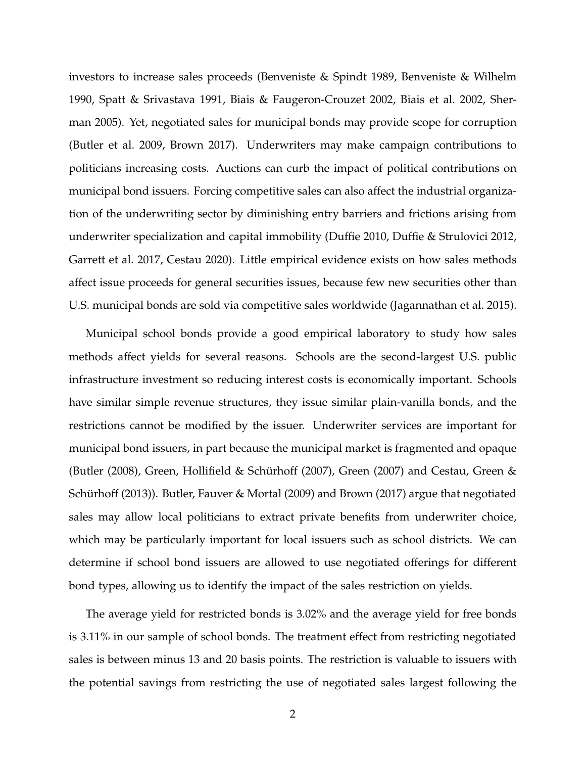investors to increase sales proceeds (Benveniste & Spindt 1989, Benveniste & Wilhelm 1990, Spatt & Srivastava 1991, Biais & Faugeron-Crouzet 2002, Biais et al. 2002, Sherman 2005). Yet, negotiated sales for municipal bonds may provide scope for corruption (Butler et al. 2009, Brown 2017). Underwriters may make campaign contributions to politicians increasing costs. Auctions can curb the impact of political contributions on municipal bond issuers. Forcing competitive sales can also affect the industrial organization of the underwriting sector by diminishing entry barriers and frictions arising from underwriter specialization and capital immobility (Duffie 2010, Duffie & Strulovici 2012, Garrett et al. 2017, Cestau 2020). Little empirical evidence exists on how sales methods affect issue proceeds for general securities issues, because few new securities other than U.S. municipal bonds are sold via competitive sales worldwide (Jagannathan et al. 2015).

Municipal school bonds provide a good empirical laboratory to study how sales methods affect yields for several reasons. Schools are the second-largest U.S. public infrastructure investment so reducing interest costs is economically important. Schools have similar simple revenue structures, they issue similar plain-vanilla bonds, and the restrictions cannot be modified by the issuer. Underwriter services are important for municipal bond issuers, in part because the municipal market is fragmented and opaque (Butler (2008), Green, Hollifield & Schürhoff (2007), Green (2007) and Cestau, Green & Schürhoff (2013)). Butler, Fauver & Mortal (2009) and Brown (2017) argue that negotiated sales may allow local politicians to extract private benefits from underwriter choice, which may be particularly important for local issuers such as school districts. We can determine if school bond issuers are allowed to use negotiated offerings for different bond types, allowing us to identify the impact of the sales restriction on yields.

The average yield for restricted bonds is 3.02% and the average yield for free bonds is 3.11% in our sample of school bonds. The treatment effect from restricting negotiated sales is between minus 13 and 20 basis points. The restriction is valuable to issuers with the potential savings from restricting the use of negotiated sales largest following the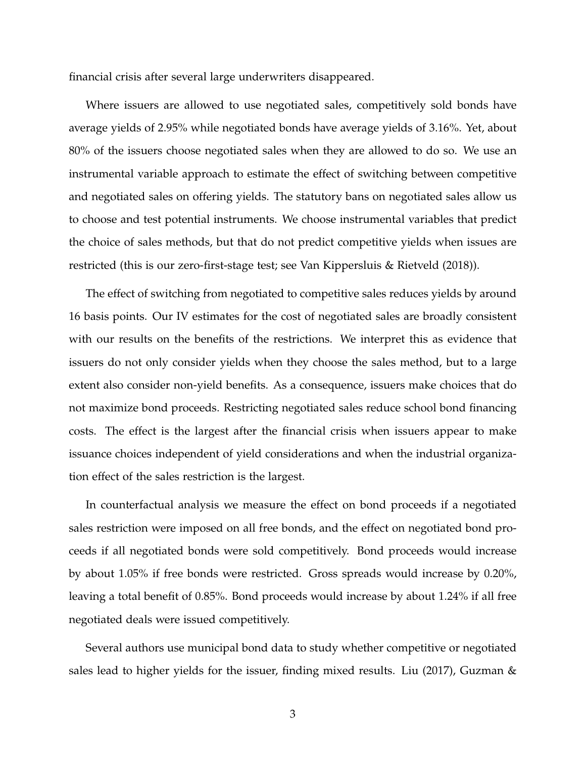financial crisis after several large underwriters disappeared.

Where issuers are allowed to use negotiated sales, competitively sold bonds have average yields of 2.95% while negotiated bonds have average yields of 3.16%. Yet, about 80% of the issuers choose negotiated sales when they are allowed to do so. We use an instrumental variable approach to estimate the effect of switching between competitive and negotiated sales on offering yields. The statutory bans on negotiated sales allow us to choose and test potential instruments. We choose instrumental variables that predict the choice of sales methods, but that do not predict competitive yields when issues are restricted (this is our zero-first-stage test; see Van Kippersluis & Rietveld (2018)).

The effect of switching from negotiated to competitive sales reduces yields by around 16 basis points. Our IV estimates for the cost of negotiated sales are broadly consistent with our results on the benefits of the restrictions. We interpret this as evidence that issuers do not only consider yields when they choose the sales method, but to a large extent also consider non-yield benefits. As a consequence, issuers make choices that do not maximize bond proceeds. Restricting negotiated sales reduce school bond financing costs. The effect is the largest after the financial crisis when issuers appear to make issuance choices independent of yield considerations and when the industrial organization effect of the sales restriction is the largest.

In counterfactual analysis we measure the effect on bond proceeds if a negotiated sales restriction were imposed on all free bonds, and the effect on negotiated bond proceeds if all negotiated bonds were sold competitively. Bond proceeds would increase by about 1.05% if free bonds were restricted. Gross spreads would increase by 0.20%, leaving a total benefit of 0.85%. Bond proceeds would increase by about 1.24% if all free negotiated deals were issued competitively.

Several authors use municipal bond data to study whether competitive or negotiated sales lead to higher yields for the issuer, finding mixed results. Liu (2017), Guzman &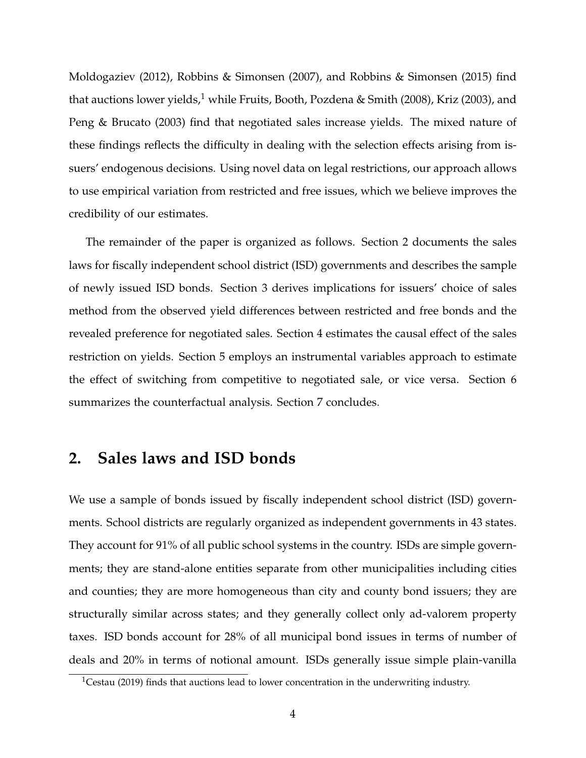Moldogaziev (2012), Robbins & Simonsen (2007), and Robbins & Simonsen (2015) find that auctions lower yields, $1 \text{ while Fruits}$ , Booth, Pozdena & Smith (2008), Kriz (2003), and Peng & Brucato (2003) find that negotiated sales increase yields. The mixed nature of these findings reflects the difficulty in dealing with the selection effects arising from issuers' endogenous decisions. Using novel data on legal restrictions, our approach allows to use empirical variation from restricted and free issues, which we believe improves the credibility of our estimates.

The remainder of the paper is organized as follows. Section 2 documents the sales laws for fiscally independent school district (ISD) governments and describes the sample of newly issued ISD bonds. Section 3 derives implications for issuers' choice of sales method from the observed yield differences between restricted and free bonds and the revealed preference for negotiated sales. Section 4 estimates the causal effect of the sales restriction on yields. Section 5 employs an instrumental variables approach to estimate the effect of switching from competitive to negotiated sale, or vice versa. Section 6 summarizes the counterfactual analysis. Section 7 concludes.

### **2. Sales laws and ISD bonds**

We use a sample of bonds issued by fiscally independent school district (ISD) governments. School districts are regularly organized as independent governments in 43 states. They account for 91% of all public school systems in the country. ISDs are simple governments; they are stand-alone entities separate from other municipalities including cities and counties; they are more homogeneous than city and county bond issuers; they are structurally similar across states; and they generally collect only ad-valorem property taxes. ISD bonds account for 28% of all municipal bond issues in terms of number of deals and 20% in terms of notional amount. ISDs generally issue simple plain-vanilla

<sup>&</sup>lt;sup>1</sup>Cestau (2019) finds that auctions lead to lower concentration in the underwriting industry.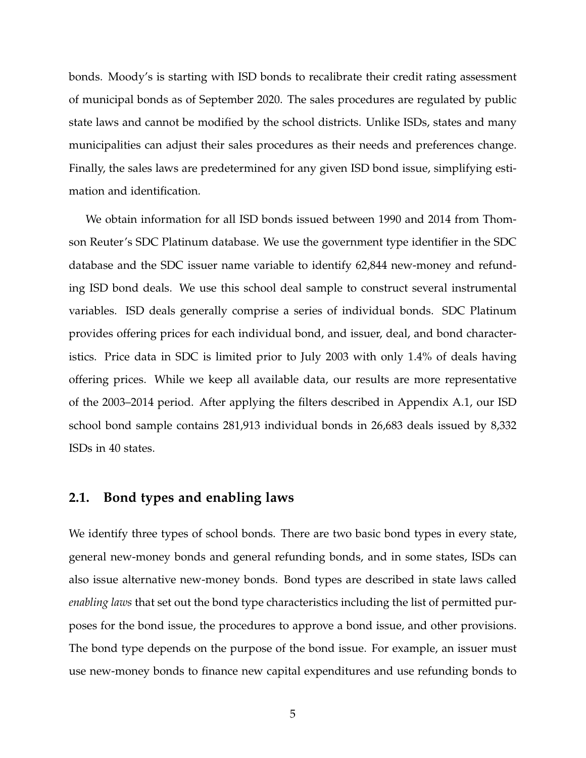bonds. Moody's is starting with ISD bonds to recalibrate their credit rating assessment of municipal bonds as of September 2020. The sales procedures are regulated by public state laws and cannot be modified by the school districts. Unlike ISDs, states and many municipalities can adjust their sales procedures as their needs and preferences change. Finally, the sales laws are predetermined for any given ISD bond issue, simplifying estimation and identification.

We obtain information for all ISD bonds issued between 1990 and 2014 from Thomson Reuter's SDC Platinum database. We use the government type identifier in the SDC database and the SDC issuer name variable to identify 62,844 new-money and refunding ISD bond deals. We use this school deal sample to construct several instrumental variables. ISD deals generally comprise a series of individual bonds. SDC Platinum provides offering prices for each individual bond, and issuer, deal, and bond characteristics. Price data in SDC is limited prior to July 2003 with only 1.4% of deals having offering prices. While we keep all available data, our results are more representative of the 2003–2014 period. After applying the filters described in Appendix A.1, our ISD school bond sample contains 281,913 individual bonds in 26,683 deals issued by 8,332 ISDs in 40 states.

#### **2.1. Bond types and enabling laws**

We identify three types of school bonds. There are two basic bond types in every state, general new-money bonds and general refunding bonds, and in some states, ISDs can also issue alternative new-money bonds. Bond types are described in state laws called *enabling laws* that set out the bond type characteristics including the list of permitted purposes for the bond issue, the procedures to approve a bond issue, and other provisions. The bond type depends on the purpose of the bond issue. For example, an issuer must use new-money bonds to finance new capital expenditures and use refunding bonds to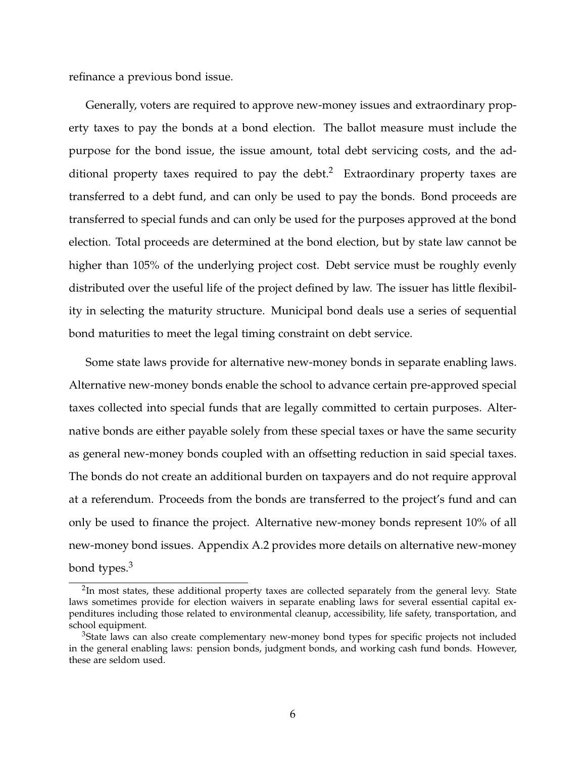refinance a previous bond issue.

Generally, voters are required to approve new-money issues and extraordinary property taxes to pay the bonds at a bond election. The ballot measure must include the purpose for the bond issue, the issue amount, total debt servicing costs, and the additional property taxes required to pay the debt.<sup>2</sup> Extraordinary property taxes are transferred to a debt fund, and can only be used to pay the bonds. Bond proceeds are transferred to special funds and can only be used for the purposes approved at the bond election. Total proceeds are determined at the bond election, but by state law cannot be higher than 105% of the underlying project cost. Debt service must be roughly evenly distributed over the useful life of the project defined by law. The issuer has little flexibility in selecting the maturity structure. Municipal bond deals use a series of sequential bond maturities to meet the legal timing constraint on debt service.

Some state laws provide for alternative new-money bonds in separate enabling laws. Alternative new-money bonds enable the school to advance certain pre-approved special taxes collected into special funds that are legally committed to certain purposes. Alternative bonds are either payable solely from these special taxes or have the same security as general new-money bonds coupled with an offsetting reduction in said special taxes. The bonds do not create an additional burden on taxpayers and do not require approval at a referendum. Proceeds from the bonds are transferred to the project's fund and can only be used to finance the project. Alternative new-money bonds represent 10% of all new-money bond issues. Appendix A.2 provides more details on alternative new-money bond types.<sup>3</sup>

 $2$ In most states, these additional property taxes are collected separately from the general levy. State laws sometimes provide for election waivers in separate enabling laws for several essential capital expenditures including those related to environmental cleanup, accessibility, life safety, transportation, and school equipment.

<sup>&</sup>lt;sup>3</sup>State laws can also create complementary new-money bond types for specific projects not included in the general enabling laws: pension bonds, judgment bonds, and working cash fund bonds. However, these are seldom used.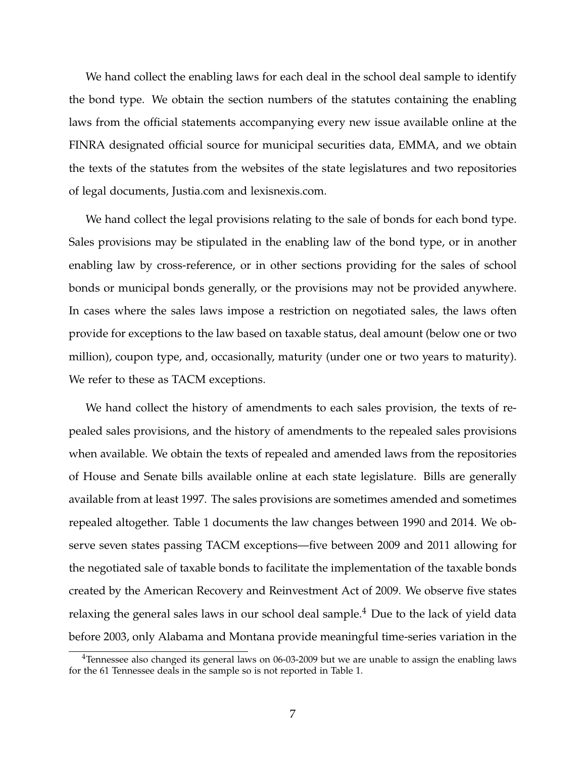We hand collect the enabling laws for each deal in the school deal sample to identify the bond type. We obtain the section numbers of the statutes containing the enabling laws from the official statements accompanying every new issue available online at the FINRA designated official source for municipal securities data, EMMA, and we obtain the texts of the statutes from the websites of the state legislatures and two repositories of legal documents, Justia.com and lexisnexis.com.

We hand collect the legal provisions relating to the sale of bonds for each bond type. Sales provisions may be stipulated in the enabling law of the bond type, or in another enabling law by cross-reference, or in other sections providing for the sales of school bonds or municipal bonds generally, or the provisions may not be provided anywhere. In cases where the sales laws impose a restriction on negotiated sales, the laws often provide for exceptions to the law based on taxable status, deal amount (below one or two million), coupon type, and, occasionally, maturity (under one or two years to maturity). We refer to these as TACM exceptions.

We hand collect the history of amendments to each sales provision, the texts of repealed sales provisions, and the history of amendments to the repealed sales provisions when available. We obtain the texts of repealed and amended laws from the repositories of House and Senate bills available online at each state legislature. Bills are generally available from at least 1997. The sales provisions are sometimes amended and sometimes repealed altogether. Table 1 documents the law changes between 1990 and 2014. We observe seven states passing TACM exceptions—five between 2009 and 2011 allowing for the negotiated sale of taxable bonds to facilitate the implementation of the taxable bonds created by the American Recovery and Reinvestment Act of 2009. We observe five states relaxing the general sales laws in our school deal sample.<sup>4</sup> Due to the lack of yield data before 2003, only Alabama and Montana provide meaningful time-series variation in the

<sup>&</sup>lt;sup>4</sup>Tennessee also changed its general laws on 06-03-2009 but we are unable to assign the enabling laws for the 61 Tennessee deals in the sample so is not reported in Table 1.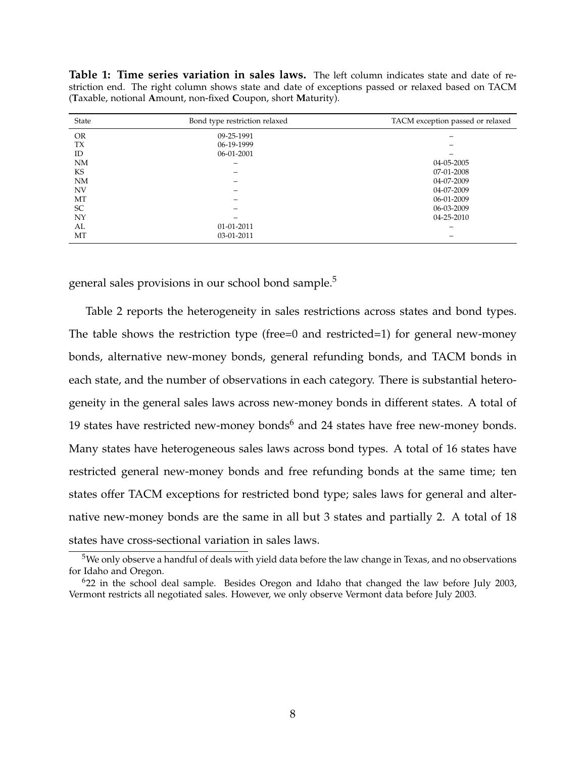**Table 1: Time series variation in sales laws.** The left column indicates state and date of restriction end. The right column shows state and date of exceptions passed or relaxed based on TACM (**T**axable, notional **A**mount, non-fixed **C**oupon, short **M**aturity).

| State     | Bond type restriction relaxed | TACM exception passed or relaxed |
|-----------|-------------------------------|----------------------------------|
| <b>OR</b> | 09-25-1991                    |                                  |
| <b>TX</b> | 06-19-1999                    |                                  |
| ID        | 06-01-2001                    |                                  |
| <b>NM</b> |                               | 04-05-2005                       |
| KS        |                               | 07-01-2008                       |
| <b>NM</b> |                               | 04-07-2009                       |
| <b>NV</b> |                               | 04-07-2009                       |
| MT        |                               | 06-01-2009                       |
| <b>SC</b> |                               | 06-03-2009                       |
| NY        |                               | 04-25-2010                       |
| AL        | 01-01-2011                    |                                  |
| MT        | 03-01-2011                    |                                  |

general sales provisions in our school bond sample.<sup>5</sup>

Table 2 reports the heterogeneity in sales restrictions across states and bond types. The table shows the restriction type (free=0 and restricted=1) for general new-money bonds, alternative new-money bonds, general refunding bonds, and TACM bonds in each state, and the number of observations in each category. There is substantial heterogeneity in the general sales laws across new-money bonds in different states. A total of 19 states have restricted new-money bonds $<sup>6</sup>$  and 24 states have free new-money bonds.</sup> Many states have heterogeneous sales laws across bond types. A total of 16 states have restricted general new-money bonds and free refunding bonds at the same time; ten states offer TACM exceptions for restricted bond type; sales laws for general and alternative new-money bonds are the same in all but 3 states and partially 2. A total of 18 states have cross-sectional variation in sales laws.

<sup>&</sup>lt;sup>5</sup>We only observe a handful of deals with yield data before the law change in Texas, and no observations for Idaho and Oregon.

<sup>6</sup>22 in the school deal sample. Besides Oregon and Idaho that changed the law before July 2003, Vermont restricts all negotiated sales. However, we only observe Vermont data before July 2003.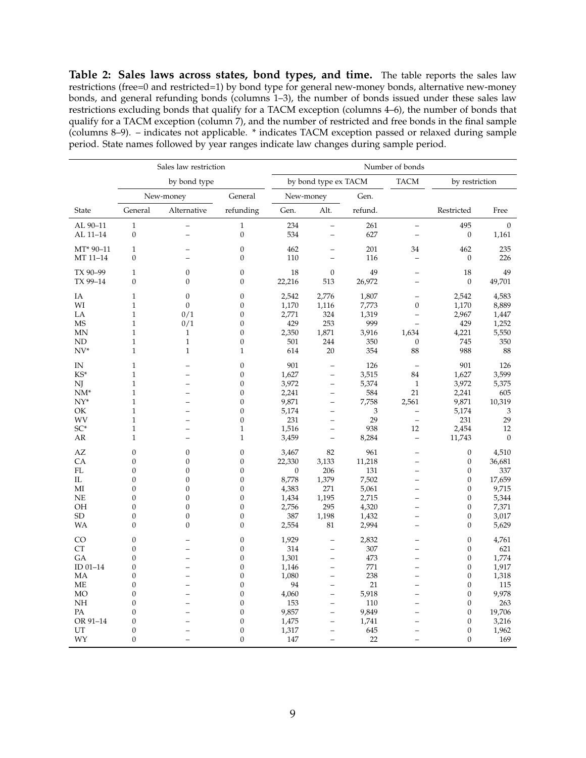**Table 2: Sales laws across states, bond types, and time.** The table reports the sales law restrictions (free=0 and restricted=1) by bond type for general new-money bonds, alternative new-money bonds, and general refunding bonds (columns 1–3), the number of bonds issued under these sales law restrictions excluding bonds that qualify for a TACM exception (columns 4–6), the number of bonds that qualify for a TACM exception (column 7), and the number of restricted and free bonds in the final sample (columns 8–9). – indicates not applicable. \* indicates TACM exception passed or relaxed during sample period. State names followed by year ranges indicate law changes during sample period.

|                   | Sales law restriction          |                          |                                  | Number of bonds |                          |                |                                      |                                  |                |
|-------------------|--------------------------------|--------------------------|----------------------------------|-----------------|--------------------------|----------------|--------------------------------------|----------------------------------|----------------|
|                   |                                | by bond type             |                                  |                 | by bond type ex TACM     |                | <b>TACM</b>                          | by restriction                   |                |
|                   |                                | New-money                | General                          | New-money       |                          | Gen.           |                                      |                                  |                |
| State             | General                        | Alternative              | refunding                        | Gen.            | Alt.                     | refund.        |                                      | Restricted                       | Free           |
| AL 90-11          | $\mathbf{1}$                   | $\equiv$                 | $\mathbf{1}$                     | 234             | $\equiv$                 | 261            | $\qquad \qquad -$                    | 495                              | $\overline{0}$ |
| AL 11-14          | $\boldsymbol{0}$               | $\overline{\phantom{0}}$ | $\boldsymbol{0}$                 | 534             | $\qquad \qquad -$        | 627            | $\overline{\phantom{0}}$             | $\boldsymbol{0}$                 | 1,161          |
| MT* 90-11         | $\mathbf{1}$                   |                          | $\boldsymbol{0}$<br>$\mathbf{0}$ | 462             |                          | 201            | 34                                   | 462                              | 235            |
| MT 11-14          | $\mathbf{0}$                   |                          |                                  | 110             | $\equiv$                 | 116            | $\equiv$                             | $\boldsymbol{0}$                 | 226            |
| TX 90-99          | $\mathbf{1}$<br>$\mathbf{0}$   | $\boldsymbol{0}$         | $\boldsymbol{0}$                 | 18              | $\boldsymbol{0}$         | 49             | $\equiv$                             | 18                               | 49             |
| TX 99-14          |                                | $\boldsymbol{0}$         | $\boldsymbol{0}$                 | 22,216          | 513                      | 26,972         |                                      | $\mathbf{0}$                     | 49,701         |
| IA                | $\mathbf{1}$                   | $\boldsymbol{0}$         | $\boldsymbol{0}$                 | 2,542           | 2,776                    | 1,807          | $\equiv$                             | 2,542                            | 4,583          |
| WI                | $\mathbf{1}$                   | $\mathbf{0}$             | $\mathbf{0}$                     | 1,170           | 1,116                    | 7,773          | $\boldsymbol{0}$                     | 1,170                            | 8,889          |
| LA                | $\mathbf{1}$<br>$\mathbf{1}$   | 0/1                      | $\boldsymbol{0}$<br>$\mathbf{0}$ | 2,771           | 324                      | 1,319<br>999   | $\equiv$<br>$\equiv$                 | 2,967                            | 1,447          |
| <b>MS</b><br>MN   | $\mathbf{1}$                   | 0/1<br>$\mathbf{1}$      | $\mathbf{0}$                     | 429<br>2,350    | 253<br>1,871             | 3,916          | 1,634                                | 429<br>4,221                     | 1,252<br>5,550 |
| <b>ND</b>         | $\mathbf{1}$                   | $\mathbf{1}$             | $\boldsymbol{0}$                 | 501             | 244                      | 350            | $\mathbf{0}$                         | 745                              | 350            |
| $NV^*$            | $\mathbf{1}$                   | $\mathbf{1}$             | $\mathbf{1}$                     | 614             | 20                       | 354            | 88                                   | 988                              | 88             |
|                   |                                |                          |                                  |                 |                          |                |                                      |                                  |                |
| IN                | $\mathbf{1}$                   |                          | $\theta$                         | 901             |                          | 126            | $\overline{\phantom{a}}$             | 901                              | 126            |
| KS*               | $\mathbf{1}$                   | $\overline{\phantom{0}}$ | $\boldsymbol{0}$                 | 1,627           | $\equiv$                 | 3,515          | 84                                   | 1,627                            | 3,599          |
| NJ                | 1                              | $\overline{\phantom{0}}$ | $\boldsymbol{0}$                 | 3,972           | $\qquad \qquad -$        | 5,374          | $\mathbf{1}$                         | 3,972                            | 5,375          |
| $NM^*$            | $\mathbf{1}$                   |                          | $\mathbf{0}$                     | 2,241           | $\overline{a}$           | 584            | 21                                   | 2,241                            | 605            |
| $NY^*$            | $\mathbf{1}$                   | $\overline{\phantom{0}}$ | $\mathbf{0}$                     | 9,871           | $\overline{\phantom{0}}$ | 7,758          | 2,561                                | 9,871                            | 10,319         |
| OK<br>WV          | $\mathbf{1}$<br>$\mathbf{1}$   | $\equiv$                 | $\boldsymbol{0}$<br>$\mathbf{0}$ | 5,174           | $\equiv$                 | 3<br>29        | $\equiv$<br>$\equiv$                 | 5,174                            | 3              |
| SC*               | $\mathbf{1}$                   | $\overline{\phantom{0}}$ | $\mathbf{1}$                     | 231             | $\equiv$<br>$\equiv$     | 938            | 12                                   | 231                              | 29<br>12       |
| AR                | $\mathbf{1}$                   |                          | $\mathbf{1}$                     | 1,516<br>3,459  | $\qquad \qquad -$        | 8,284          | $\equiv$                             | 2,454<br>11,743                  | $\overline{0}$ |
|                   |                                |                          |                                  |                 |                          |                |                                      |                                  |                |
| AZ                | $\mathbf{0}$                   | $\mathbf{0}$             | $\theta$                         | 3,467           | 82                       | 961            |                                      | $\mathbf{0}$                     | 4,510          |
| CA                | $\mathbf{0}$                   | $\overline{0}$           | $\mathbf{0}$                     | 22,330          | 3,133                    | 11,218         | $\overline{\phantom{0}}$             | $\boldsymbol{0}$                 | 36,681         |
| FL                | $\mathbf{0}$                   | $\overline{0}$           | $\mathbf{0}$                     | $\mathbf{0}$    | 206                      | 131            |                                      | $\mathbf{0}$                     | 337            |
| $_{\rm IL}$<br>MI | $\boldsymbol{0}$<br>$\Omega$   | $\mathbf{0}$<br>$\theta$ | $\boldsymbol{0}$<br>$\mathbf{0}$ | 8,778           | 1,379                    | 7,502          | $\overline{\phantom{0}}$             | $\mathbf{0}$                     | 17,659         |
| <b>NE</b>         | $\overline{0}$                 | $\mathbf{0}$             | $\boldsymbol{0}$                 | 4,383           | 271                      | 5,061          | $\overline{\phantom{0}}$<br>$\equiv$ | $\mathbf{0}$                     | 9,715          |
| <b>OH</b>         | $\mathbf{0}$                   | $\mathbf{0}$             | $\boldsymbol{0}$                 | 1,434<br>2,756  | 1,195<br>295             | 2,715<br>4,320 | $\overline{a}$                       | $\boldsymbol{0}$<br>$\mathbf{0}$ | 5,344<br>7,371 |
| <b>SD</b>         | $\overline{0}$                 | $\boldsymbol{0}$         | $\theta$                         | 387             | 1,198                    | 1,432          | $\overline{\phantom{0}}$             | $\boldsymbol{0}$                 | 3,017          |
| <b>WA</b>         | $\mathbf{0}$                   | $\overline{0}$           | $\mathbf{0}$                     | 2,554           | 81                       | 2,994          | $\equiv$                             | $\overline{0}$                   | 5,629          |
|                   |                                |                          |                                  |                 |                          |                |                                      |                                  |                |
| CO                | $\mathbf{0}$                   |                          | $\boldsymbol{0}$                 | 1,929           | L,                       | 2,832          |                                      | $\mathbf{0}$                     | 4,761          |
| <b>CT</b>         | $\mathbf{0}$                   | $\overline{\phantom{0}}$ | $\theta$                         | 314             | $\qquad \qquad -$        | 307            | $\overline{\phantom{0}}$             | $\overline{0}$                   | 621            |
| GA                | $\mathbf{0}$                   | $\overline{\phantom{0}}$ | $\boldsymbol{0}$                 | 1,301           | $\overline{\phantom{0}}$ | 473            | $\overline{\phantom{0}}$             | $\mathbf{0}$                     | 1,774          |
| ID 01-14          | $\overline{0}$                 | $\overline{\phantom{0}}$ | $\mathbf{0}$                     | 1,146           | $\qquad \qquad -$        | 771            | $\overline{\phantom{0}}$             | $\overline{0}$                   | 1,917          |
| MA                | $\overline{0}$                 |                          | $\overline{0}$                   | 1,080           | $\overline{\phantom{0}}$ | 238            | $\overline{\phantom{0}}$             | $\overline{0}$                   | 1,318          |
| <b>ME</b>         | $\mathbf{0}$                   | $\overline{\phantom{0}}$ | $\boldsymbol{0}$                 | 94              | $\equiv$                 | 21             | $\overline{\phantom{0}}$             | $\mathbf{0}$                     | 115            |
| MO<br>NH          | $\mathbf{0}$<br>$\overline{0}$ | $\equiv$                 | $\boldsymbol{0}$<br>$\mathbf{0}$ | 4,060<br>153    | $\equiv$<br>$\equiv$     | 5,918<br>110   | $\overline{\phantom{0}}$             | $\mathbf{0}$<br>$\mathbf{0}$     | 9,978<br>263   |
| PA                | $\mathbf{0}$                   | $\equiv$                 | $\boldsymbol{0}$                 | 9,857           | $\equiv$                 | 9,849          | $\overline{a}$                       | $\mathbf{0}$                     | 19,706         |
| OR 91-14          | $\mathbf{0}$                   |                          | $\mathbf{0}$                     | 1,475           | $\overline{\phantom{0}}$ | 1,741          |                                      | $\mathbf{0}$                     | 3,216          |
| UT                | $\mathbf{0}$                   |                          | $\mathbf{0}$                     | 1,317           | $\equiv$                 | 645            |                                      | $\mathbf{0}$                     | 1,962          |
| WY                | $\theta$                       | $\overline{\phantom{0}}$ | $\theta$                         | 147             | $\qquad \qquad -$        | 22             | $\qquad \qquad$                      | $\Omega$                         | 169            |
|                   |                                |                          |                                  |                 |                          |                |                                      |                                  |                |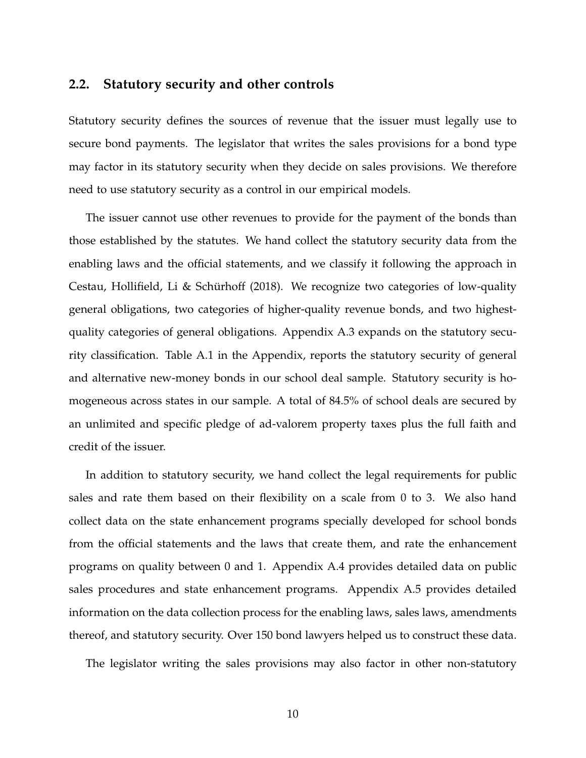#### **2.2. Statutory security and other controls**

Statutory security defines the sources of revenue that the issuer must legally use to secure bond payments. The legislator that writes the sales provisions for a bond type may factor in its statutory security when they decide on sales provisions. We therefore need to use statutory security as a control in our empirical models.

The issuer cannot use other revenues to provide for the payment of the bonds than those established by the statutes. We hand collect the statutory security data from the enabling laws and the official statements, and we classify it following the approach in Cestau, Hollifield, Li & Schürhoff (2018). We recognize two categories of low-quality general obligations, two categories of higher-quality revenue bonds, and two highestquality categories of general obligations. Appendix A.3 expands on the statutory security classification. Table A.1 in the Appendix, reports the statutory security of general and alternative new-money bonds in our school deal sample. Statutory security is homogeneous across states in our sample. A total of 84.5% of school deals are secured by an unlimited and specific pledge of ad-valorem property taxes plus the full faith and credit of the issuer.

In addition to statutory security, we hand collect the legal requirements for public sales and rate them based on their flexibility on a scale from 0 to 3. We also hand collect data on the state enhancement programs specially developed for school bonds from the official statements and the laws that create them, and rate the enhancement programs on quality between 0 and 1. Appendix A.4 provides detailed data on public sales procedures and state enhancement programs. Appendix A.5 provides detailed information on the data collection process for the enabling laws, sales laws, amendments thereof, and statutory security. Over 150 bond lawyers helped us to construct these data.

The legislator writing the sales provisions may also factor in other non-statutory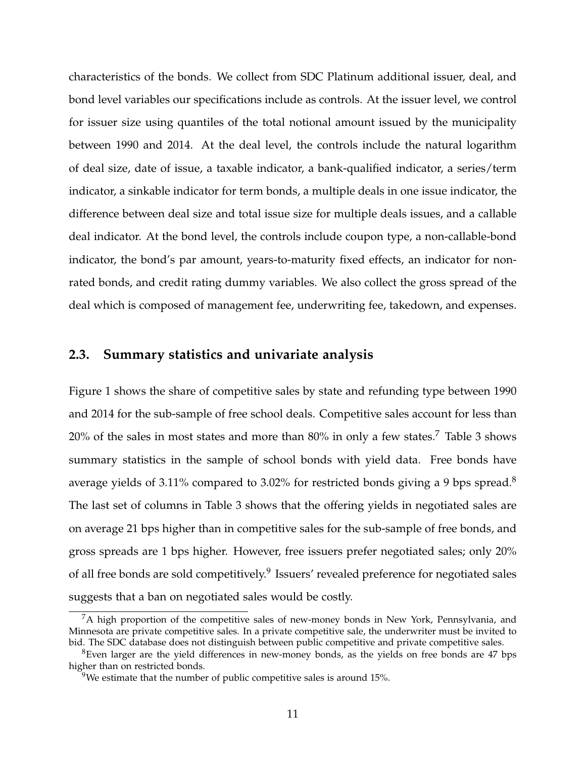characteristics of the bonds. We collect from SDC Platinum additional issuer, deal, and bond level variables our specifications include as controls. At the issuer level, we control for issuer size using quantiles of the total notional amount issued by the municipality between 1990 and 2014. At the deal level, the controls include the natural logarithm of deal size, date of issue, a taxable indicator, a bank-qualified indicator, a series/term indicator, a sinkable indicator for term bonds, a multiple deals in one issue indicator, the difference between deal size and total issue size for multiple deals issues, and a callable deal indicator. At the bond level, the controls include coupon type, a non-callable-bond indicator, the bond's par amount, years-to-maturity fixed effects, an indicator for nonrated bonds, and credit rating dummy variables. We also collect the gross spread of the deal which is composed of management fee, underwriting fee, takedown, and expenses.

#### **2.3. Summary statistics and univariate analysis**

Figure 1 shows the share of competitive sales by state and refunding type between 1990 and 2014 for the sub-sample of free school deals. Competitive sales account for less than  $20\%$  of the sales in most states and more than  $80\%$  in only a few states.<sup>7</sup> Table 3 shows summary statistics in the sample of school bonds with yield data. Free bonds have average yields of 3.11% compared to 3.02% for restricted bonds giving a 9 bps spread.<sup>8</sup> The last set of columns in Table 3 shows that the offering yields in negotiated sales are on average 21 bps higher than in competitive sales for the sub-sample of free bonds, and gross spreads are 1 bps higher. However, free issuers prefer negotiated sales; only 20% of all free bonds are sold competitively.<sup>9</sup> Issuers' revealed preference for negotiated sales suggests that a ban on negotiated sales would be costly.

 ${}^{7}$ A high proportion of the competitive sales of new-money bonds in New York, Pennsylvania, and Minnesota are private competitive sales. In a private competitive sale, the underwriter must be invited to bid. The SDC database does not distinguish between public competitive and private competitive sales.

<sup>8</sup>Even larger are the yield differences in new-money bonds, as the yields on free bonds are 47 bps higher than on restricted bonds.

<sup>&</sup>lt;sup>9</sup>We estimate that the number of public competitive sales is around 15%.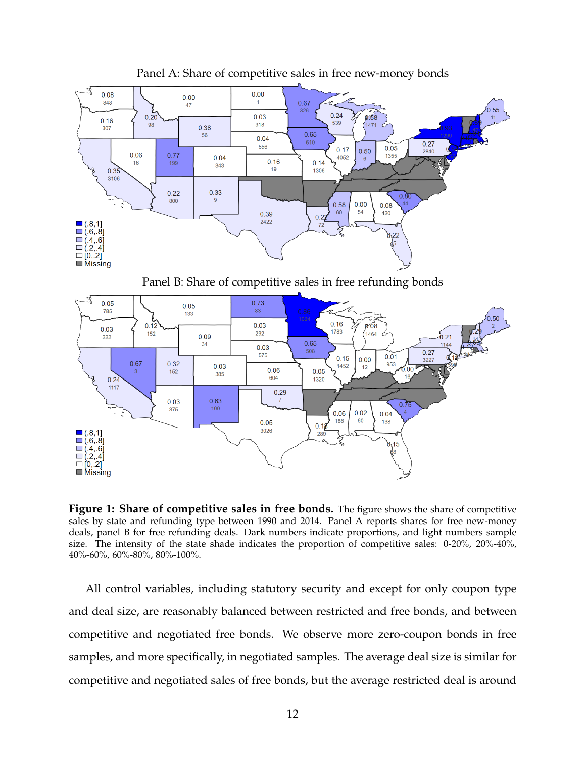

Panel A: Share of competitive sales in free new-money bonds

Panel B: Share of competitive sales in free refunding bonds



**Figure 1: Share of competitive sales in free bonds.** The figure shows the share of competitive sales by state and refunding type between 1990 and 2014. Panel A reports shares for free new-money deals, panel B for free refunding deals. Dark numbers indicate proportions, and light numbers sample size. The intensity of the state shade indicates the proportion of competitive sales: 0-20%, 20%-40%, 40%-60%, 60%-80%, 80%-100%.

All control variables, including statutory security and except for only coupon type and deal size, are reasonably balanced between restricted and free bonds, and between competitive and negotiated free bonds. We observe more zero-coupon bonds in free samples, and more specifically, in negotiated samples. The average deal size is similar for competitive and negotiated sales of free bonds, but the average restricted deal is around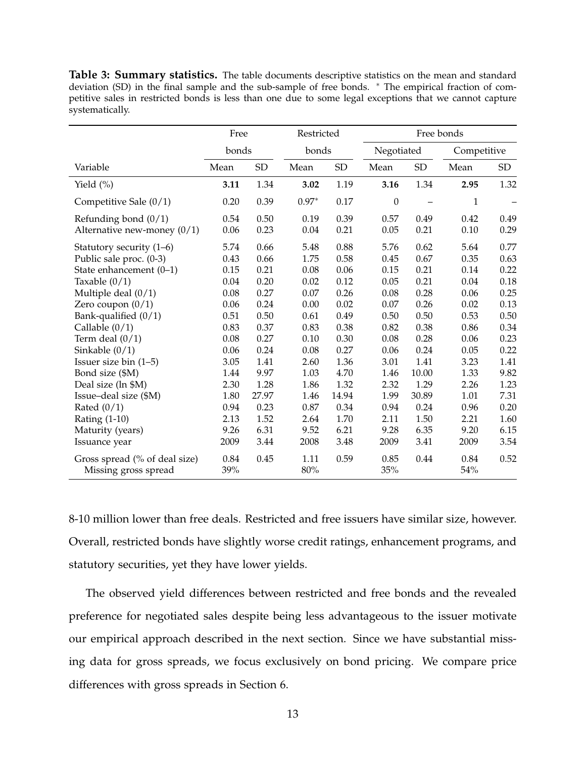**Table 3: Summary statistics.** The table documents descriptive statistics on the mean and standard deviation (SD) in the final sample and the sub-sample of free bonds. \* The empirical fraction of competitive sales in restricted bonds is less than one due to some legal exceptions that we cannot capture systematically.

|                               | Free  |       | Restricted |            |                  | Free bonds |              |      |
|-------------------------------|-------|-------|------------|------------|------------------|------------|--------------|------|
|                               | bonds |       | bonds      |            | Negotiated       |            | Competitive  |      |
| Variable                      | Mean  | SD    | Mean       | ${\rm SD}$ | Mean             | SD         | Mean         | SD   |
| Yield $(\%)$                  | 3.11  | 1.34  | 3.02       | 1.19       | 3.16             | 1.34       | 2.95         | 1.32 |
| Competitive Sale (0/1)        | 0.20  | 0.39  | $0.97*$    | 0.17       | $\boldsymbol{0}$ |            | $\mathbf{1}$ |      |
| Refunding bond $(0/1)$        | 0.54  | 0.50  | 0.19       | 0.39       | 0.57             | 0.49       | 0.42         | 0.49 |
| Alternative new-money $(0/1)$ | 0.06  | 0.23  | 0.04       | 0.21       | 0.05             | 0.21       | 0.10         | 0.29 |
| Statutory security $(1-6)$    | 5.74  | 0.66  | 5.48       | 0.88       | 5.76             | 0.62       | 5.64         | 0.77 |
| Public sale proc. (0-3)       | 0.43  | 0.66  | 1.75       | 0.58       | 0.45             | 0.67       | 0.35         | 0.63 |
| State enhancement (0-1)       | 0.15  | 0.21  | 0.08       | 0.06       | 0.15             | 0.21       | 0.14         | 0.22 |
| Taxable $(0/1)$               | 0.04  | 0.20  | 0.02       | 0.12       | 0.05             | 0.21       | 0.04         | 0.18 |
| Multiple deal $(0/1)$         | 0.08  | 0.27  | 0.07       | 0.26       | 0.08             | 0.28       | 0.06         | 0.25 |
| Zero coupon $(0/1)$           | 0.06  | 0.24  | 0.00       | 0.02       | 0.07             | 0.26       | 0.02         | 0.13 |
| Bank-qualified $(0/1)$        | 0.51  | 0.50  | 0.61       | 0.49       | 0.50             | 0.50       | 0.53         | 0.50 |
| Callable $(0/1)$              | 0.83  | 0.37  | 0.83       | 0.38       | 0.82             | 0.38       | 0.86         | 0.34 |
| Term deal $(0/1)$             | 0.08  | 0.27  | 0.10       | 0.30       | 0.08             | 0.28       | 0.06         | 0.23 |
| Sinkable $(0/1)$              | 0.06  | 0.24  | 0.08       | 0.27       | 0.06             | 0.24       | 0.05         | 0.22 |
| Issuer size bin $(1-5)$       | 3.05  | 1.41  | 2.60       | 1.36       | 3.01             | 1.41       | 3.23         | 1.41 |
| Bond size (\$M)               | 1.44  | 9.97  | 1.03       | 4.70       | 1.46             | 10.00      | 1.33         | 9.82 |
| Deal size (ln \$M)            | 2.30  | 1.28  | 1.86       | 1.32       | 2.32             | 1.29       | 2.26         | 1.23 |
| Issue-deal size (\$M)         | 1.80  | 27.97 | 1.46       | 14.94      | 1.99             | 30.89      | 1.01         | 7.31 |
| Rated $(0/1)$                 | 0.94  | 0.23  | 0.87       | 0.34       | 0.94             | 0.24       | 0.96         | 0.20 |
| <b>Rating (1-10)</b>          | 2.13  | 1.52  | 2.64       | 1.70       | 2.11             | 1.50       | 2.21         | 1.60 |
| Maturity (years)              | 9.26  | 6.31  | 9.52       | 6.21       | 9.28             | 6.35       | 9.20         | 6.15 |
| Issuance year                 | 2009  | 3.44  | 2008       | 3.48       | 2009             | 3.41       | 2009         | 3.54 |
| Gross spread (% of deal size) | 0.84  | 0.45  | 1.11       | 0.59       | 0.85             | 0.44       | 0.84         | 0.52 |
| Missing gross spread          | 39%   |       | $80\%$     |            | 35%              |            | 54%          |      |

8-10 million lower than free deals. Restricted and free issuers have similar size, however. Overall, restricted bonds have slightly worse credit ratings, enhancement programs, and statutory securities, yet they have lower yields.

The observed yield differences between restricted and free bonds and the revealed preference for negotiated sales despite being less advantageous to the issuer motivate our empirical approach described in the next section. Since we have substantial missing data for gross spreads, we focus exclusively on bond pricing. We compare price differences with gross spreads in Section 6.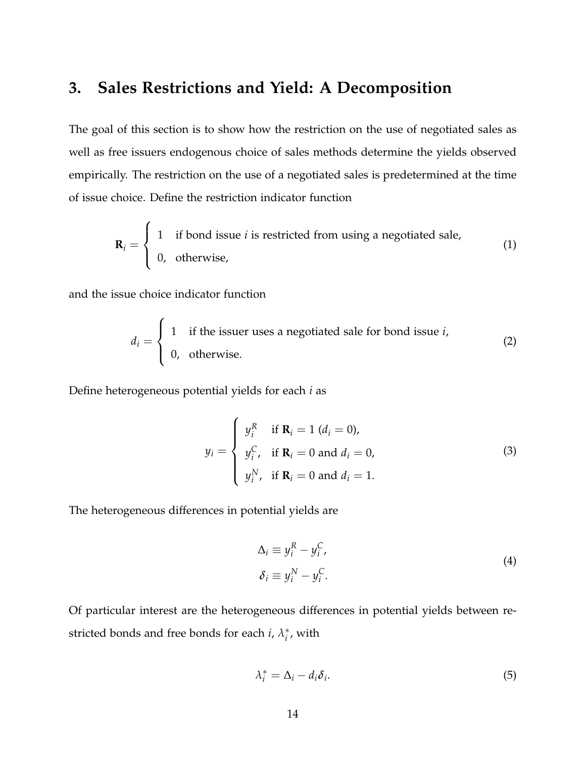### **3. Sales Restrictions and Yield: A Decomposition**

The goal of this section is to show how the restriction on the use of negotiated sales as well as free issuers endogenous choice of sales methods determine the yields observed empirically. The restriction on the use of a negotiated sales is predetermined at the time of issue choice. Define the restriction indicator function

$$
\mathbf{R}_i = \begin{cases} 1 & \text{if bond issue } i \text{ is restricted from using a negotiated sale,} \\ 0, & \text{otherwise,} \end{cases} \tag{1}
$$

and the issue choice indicator function

 $\epsilon$ 

$$
d_i = \begin{cases} 1 & \text{if the issuer uses a negotiated sale for bond issue } i, \\ 0, & \text{otherwise.} \end{cases}
$$
 (2)

Define heterogeneous potential yields for each *i* as

$$
y_i = \begin{cases} y_i^R & \text{if } \mathbf{R}_i = 1 \ (d_i = 0), \\ y_i^C, & \text{if } \mathbf{R}_i = 0 \text{ and } d_i = 0, \\ y_i^N, & \text{if } \mathbf{R}_i = 0 \text{ and } d_i = 1. \end{cases}
$$
 (3)

The heterogeneous differences in potential yields are

$$
\Delta_i \equiv y_i^R - y_i^C,
$$
  
\n
$$
\delta_i \equiv y_i^N - y_i^C.
$$
\n(4)

Of particular interest are the heterogeneous differences in potential yields between restricted bonds and free bonds for each *i*, *λ* ∗  $_i^*$ , with

$$
\lambda_i^* = \Delta_i - d_i \delta_i. \tag{5}
$$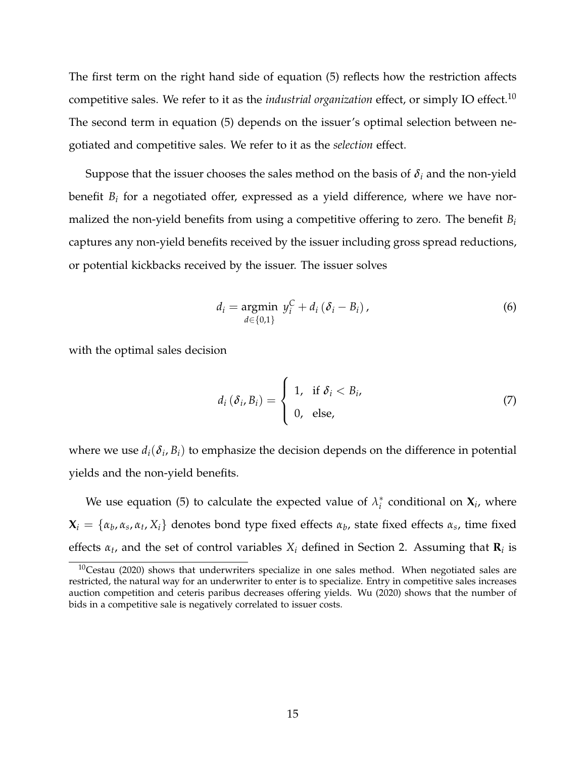The first term on the right hand side of equation (5) reflects how the restriction affects competitive sales. We refer to it as the *industrial organization* effect, or simply IO effect.<sup>10</sup> The second term in equation (5) depends on the issuer's optimal selection between negotiated and competitive sales. We refer to it as the *selection* effect.

Suppose that the issuer chooses the sales method on the basis of  $\delta_i$  and the non-yield benefit *B<sup>i</sup>* for a negotiated offer, expressed as a yield difference, where we have normalized the non-yield benefits from using a competitive offering to zero. The benefit *B<sup>i</sup>* captures any non-yield benefits received by the issuer including gross spread reductions, or potential kickbacks received by the issuer. The issuer solves

$$
d_i = \underset{d \in \{0,1\}}{\operatorname{argmin}} \ y_i^C + d_i \left( \delta_i - B_i \right), \tag{6}
$$

with the optimal sales decision

$$
d_i(\delta_i, B_i) = \begin{cases} 1, & \text{if } \delta_i < B_i, \\ 0, & \text{else,} \end{cases} \tag{7}
$$

where we use  $d_i(\delta_i, B_i)$  to emphasize the decision depends on the difference in potential yields and the non-yield benefits.

We use equation (5) to calculate the expected value of  $\lambda_i^*$  $i<sub>i</sub>$  conditional on  $\mathbf{X}_{i}$ , where  $\mathbf{X}_i = \{ \alpha_b, \alpha_s, \alpha_t, X_i \}$  denotes bond type fixed effects  $\alpha_b$ , state fixed effects  $\alpha_s$ , time fixed effects  $\alpha_t$ , and the set of control variables  $X_i$  defined in Section 2. Assuming that  $\mathbf{R}_i$  is

 $10$ Cestau (2020) shows that underwriters specialize in one sales method. When negotiated sales are restricted, the natural way for an underwriter to enter is to specialize. Entry in competitive sales increases auction competition and ceteris paribus decreases offering yields. Wu (2020) shows that the number of bids in a competitive sale is negatively correlated to issuer costs.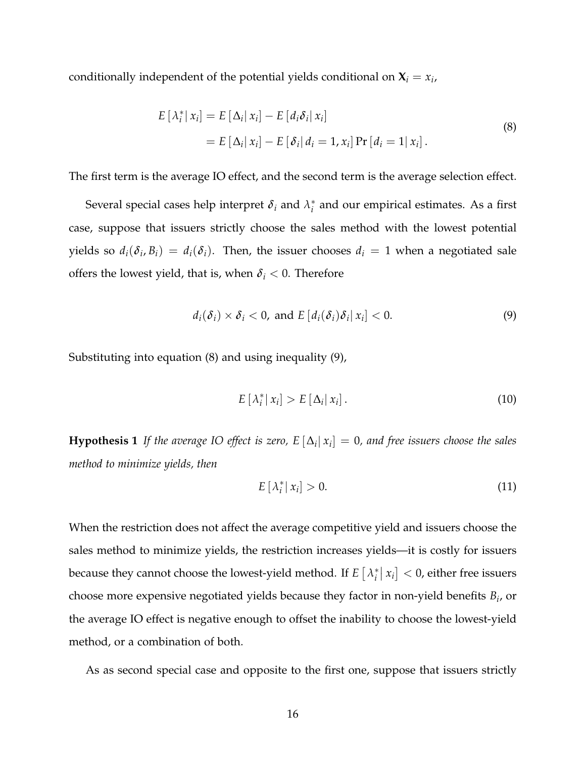conditionally independent of the potential yields conditional on  $X_i = x_i$ ,

$$
E\left[\lambda_i^* \,|\, x_i\right] = E\left[\Delta_i \,|\, x_i\right] - E\left[d_i \delta_i \,|\, x_i\right]
$$
\n
$$
= E\left[\Delta_i \,|\, x_i\right] - E\left[\delta_i \,|\, d_i = 1, x_i\right] \Pr\left[d_i = 1 \,|\, x_i\right].\tag{8}
$$

The first term is the average IO effect, and the second term is the average selection effect.

Several special cases help interpret  $\delta_i$  and  $\lambda_i^*$ *i* and our empirical estimates. As a first case, suppose that issuers strictly choose the sales method with the lowest potential yields so  $d_i(\delta_i, B_i) = d_i(\delta_i)$ . Then, the issuer chooses  $d_i = 1$  when a negotiated sale offers the lowest yield, that is, when  $\delta_i < 0$ . Therefore

$$
d_i(\delta_i) \times \delta_i < 0, \text{ and } E\left[d_i(\delta_i)\delta_i | x_i\right] < 0. \tag{9}
$$

Substituting into equation (8) and using inequality (9),

$$
E\left[\lambda_i^* \,|\, x_i\right] > E\left[\Delta_i \,|\, x_i\right].\tag{10}
$$

**Hypothesis 1** If the average IO effect is zero,  $E\left[\Delta_i|\mathbf{x}_i\right]=0$ , and free issuers choose the sales *method to minimize yields, then*

$$
E\left[\lambda_i^*|\,x_i\right] > 0.\tag{11}
$$

When the restriction does not affect the average competitive yield and issuers choose the sales method to minimize yields, the restriction increases yields—it is costly for issuers because they cannot choose the lowest-yield method. If  $E\left[\lambda_i^*\right]$  $\left| x_i \right|$   $<$  0, either free issuers choose more expensive negotiated yields because they factor in non-yield benefits *B<sup>i</sup>* , or the average IO effect is negative enough to offset the inability to choose the lowest-yield method, or a combination of both.

As as second special case and opposite to the first one, suppose that issuers strictly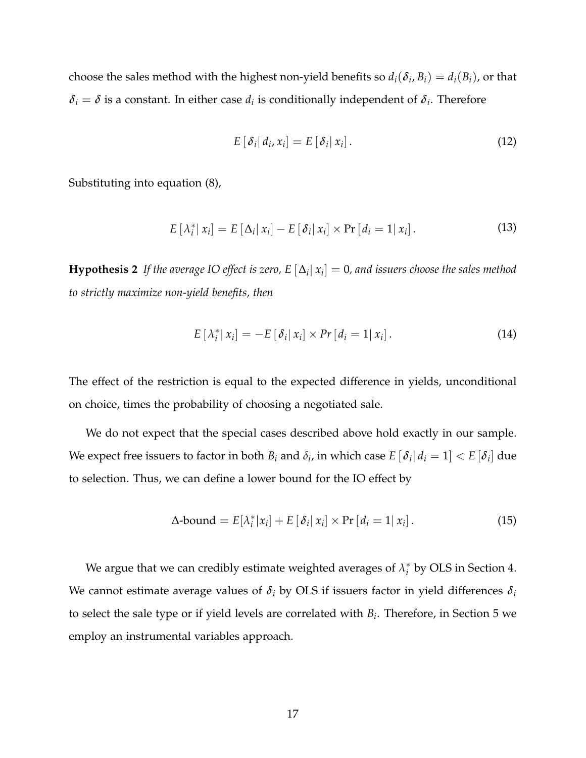choose the sales method with the highest non-yield benefits so  $d_i(\delta_i, B_i) = d_i(B_i)$ , or that  $\delta_i = \delta$  is a constant. In either case  $d_i$  is conditionally independent of  $\delta_i$ . Therefore

$$
E\left[\delta_i\right|d_i, x_i\right] = E\left[\delta_i\right| x_i\right]. \tag{12}
$$

Substituting into equation (8),

$$
E\left[\lambda_i^*|\,x_i\right] = E\left[\Delta_i|\,x_i\right] - E\left[\delta_i|\,x_i\right] \times \Pr\left[d_i = 1|\,x_i\right].\tag{13}
$$

**Hypothesis 2** If the average IO effect is zero, E  $[\Delta_i | x_i] = 0$ , and issuers choose the sales method *to strictly maximize non-yield benefits, then*

$$
E\left[\lambda_i^*|\,x_i\right] = -E\left[\delta_i|\,x_i\right] \times Pr\left[d_i=1|\,x_i\right].\tag{14}
$$

The effect of the restriction is equal to the expected difference in yields, unconditional on choice, times the probability of choosing a negotiated sale.

We do not expect that the special cases described above hold exactly in our sample. We expect free issuers to factor in both  $B_i$  and  $\delta_i$ , in which case  $E\, [\, \delta_i\, |\, d_i=1] < E\, [\delta_i]$  due to selection. Thus, we can define a lower bound for the IO effect by

$$
\Delta\text{-bound} = E[\lambda_i^* | x_i] + E[\delta_i | x_i] \times \Pr[d_i = 1 | x_i]. \tag{15}
$$

We argue that we can credibly estimate weighted averages of  $\lambda_i^*$  $i<sub>i</sub>$  by OLS in Section 4. We cannot estimate average values of  $\delta_i$  by OLS if issuers factor in yield differences  $\delta_i$ to select the sale type or if yield levels are correlated with *B<sup>i</sup>* . Therefore, in Section 5 we employ an instrumental variables approach.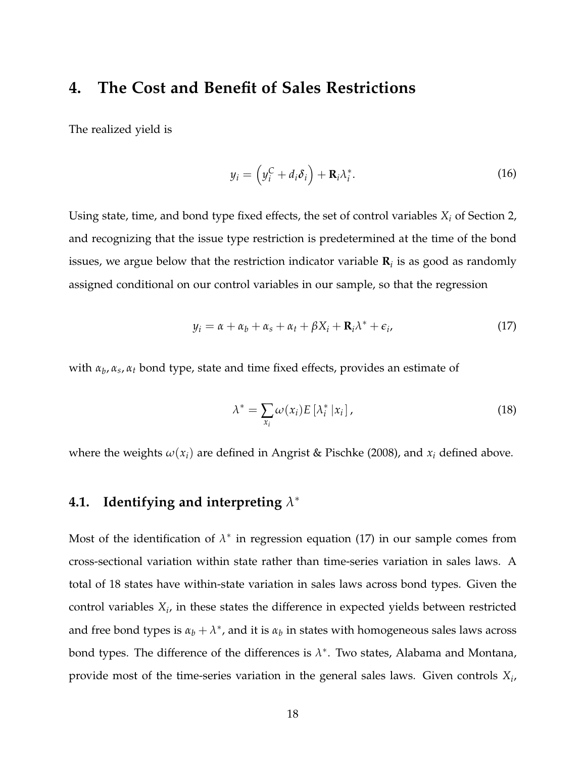### **4. The Cost and Benefit of Sales Restrictions**

The realized yield is

$$
y_i = \left(y_i^C + d_i \delta_i\right) + \mathbf{R}_i \lambda_i^*.
$$
 (16)

Using state, time, and bond type fixed effects, the set of control variables *X<sup>i</sup>* of Section 2, and recognizing that the issue type restriction is predetermined at the time of the bond issues, we argue below that the restriction indicator variable **R***<sup>i</sup>* is as good as randomly assigned conditional on our control variables in our sample, so that the regression

$$
y_i = \alpha + \alpha_b + \alpha_s + \alpha_t + \beta X_i + \mathbf{R}_i \lambda^* + \epsilon_i, \tag{17}
$$

with *α<sup>b</sup>* , *α<sup>s</sup>* , *α<sup>t</sup>* bond type, state and time fixed effects, provides an estimate of

$$
\lambda^* = \sum_{x_i} \omega(x_i) E\left[\lambda_i^* \, | x_i\right],\tag{18}
$$

where the weights  $\omega(x_i)$  are defined in Angrist & Pischke (2008), and  $x_i$  defined above.

### **4.1. Identifying and interpreting** *λ* ∗

Most of the identification of  $\lambda^*$  in regression equation (17) in our sample comes from cross-sectional variation within state rather than time-series variation in sales laws. A total of 18 states have within-state variation in sales laws across bond types. Given the control variables  $X_i$ , in these states the difference in expected yields between restricted and free bond types is  $\alpha_b + \lambda^*$ , and it is  $\alpha_b$  in states with homogeneous sales laws across bond types. The difference of the differences is  $\lambda^*$ . Two states, Alabama and Montana, provide most of the time-series variation in the general sales laws. Given controls *X<sup>i</sup>* ,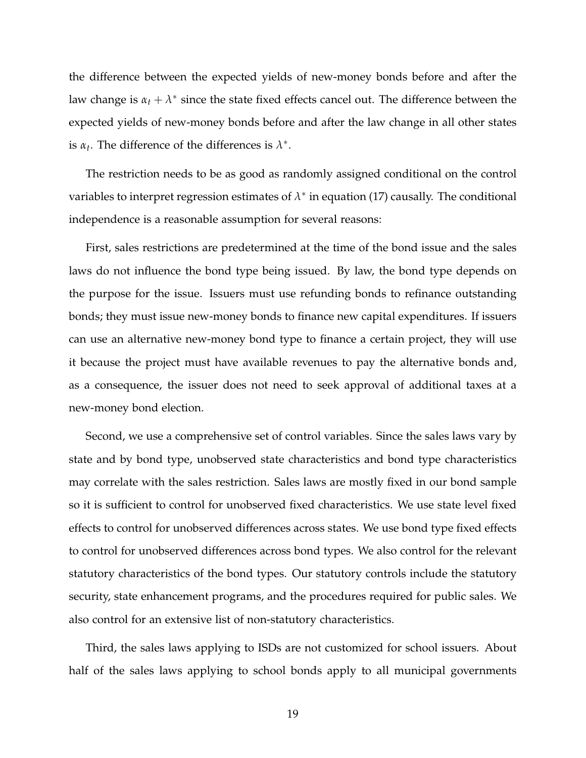the difference between the expected yields of new-money bonds before and after the law change is  $\alpha_t + \lambda^*$  since the state fixed effects cancel out. The difference between the expected yields of new-money bonds before and after the law change in all other states is  $\alpha_t$ . The difference of the differences is  $\lambda^*$ .

The restriction needs to be as good as randomly assigned conditional on the control variables to interpret regression estimates of  $\lambda^*$  in equation (17) causally. The conditional independence is a reasonable assumption for several reasons:

First, sales restrictions are predetermined at the time of the bond issue and the sales laws do not influence the bond type being issued. By law, the bond type depends on the purpose for the issue. Issuers must use refunding bonds to refinance outstanding bonds; they must issue new-money bonds to finance new capital expenditures. If issuers can use an alternative new-money bond type to finance a certain project, they will use it because the project must have available revenues to pay the alternative bonds and, as a consequence, the issuer does not need to seek approval of additional taxes at a new-money bond election.

Second, we use a comprehensive set of control variables. Since the sales laws vary by state and by bond type, unobserved state characteristics and bond type characteristics may correlate with the sales restriction. Sales laws are mostly fixed in our bond sample so it is sufficient to control for unobserved fixed characteristics. We use state level fixed effects to control for unobserved differences across states. We use bond type fixed effects to control for unobserved differences across bond types. We also control for the relevant statutory characteristics of the bond types. Our statutory controls include the statutory security, state enhancement programs, and the procedures required for public sales. We also control for an extensive list of non-statutory characteristics.

Third, the sales laws applying to ISDs are not customized for school issuers. About half of the sales laws applying to school bonds apply to all municipal governments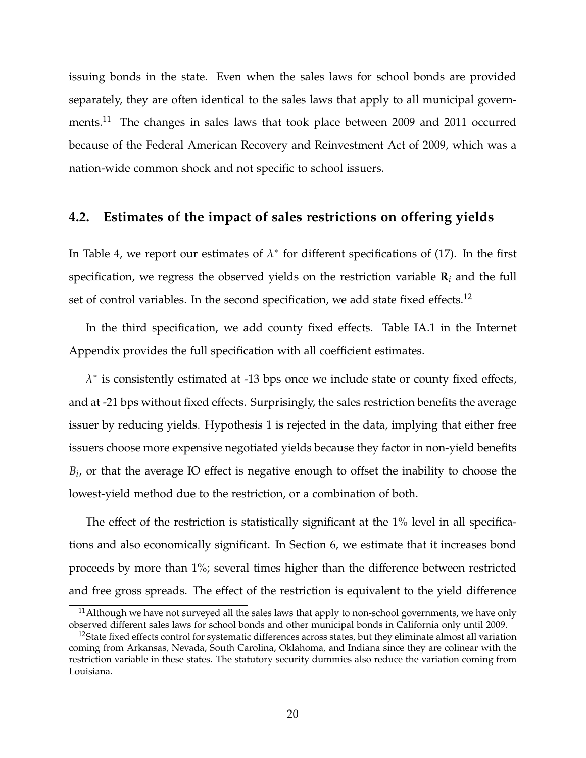issuing bonds in the state. Even when the sales laws for school bonds are provided separately, they are often identical to the sales laws that apply to all municipal governments.<sup>11</sup> The changes in sales laws that took place between 2009 and 2011 occurred because of the Federal American Recovery and Reinvestment Act of 2009, which was a nation-wide common shock and not specific to school issuers.

#### **4.2. Estimates of the impact of sales restrictions on offering yields**

In Table 4, we report our estimates of  $\lambda^*$  for different specifications of (17). In the first specification, we regress the observed yields on the restriction variable **R***<sup>i</sup>* and the full set of control variables. In the second specification, we add state fixed effects.<sup>12</sup>

In the third specification, we add county fixed effects. Table IA.1 in the Internet Appendix provides the full specification with all coefficient estimates.

 $\lambda^*$  is consistently estimated at -13 bps once we include state or county fixed effects, and at -21 bps without fixed effects. Surprisingly, the sales restriction benefits the average issuer by reducing yields. Hypothesis 1 is rejected in the data, implying that either free issuers choose more expensive negotiated yields because they factor in non-yield benefits *Bi* , or that the average IO effect is negative enough to offset the inability to choose the lowest-yield method due to the restriction, or a combination of both.

The effect of the restriction is statistically significant at the 1% level in all specifications and also economically significant. In Section 6, we estimate that it increases bond proceeds by more than 1%; several times higher than the difference between restricted and free gross spreads. The effect of the restriction is equivalent to the yield difference

 $11$ Although we have not surveyed all the sales laws that apply to non-school governments, we have only observed different sales laws for school bonds and other municipal bonds in California only until 2009.

 $12$ State fixed effects control for systematic differences across states, but they eliminate almost all variation coming from Arkansas, Nevada, South Carolina, Oklahoma, and Indiana since they are colinear with the restriction variable in these states. The statutory security dummies also reduce the variation coming from Louisiana.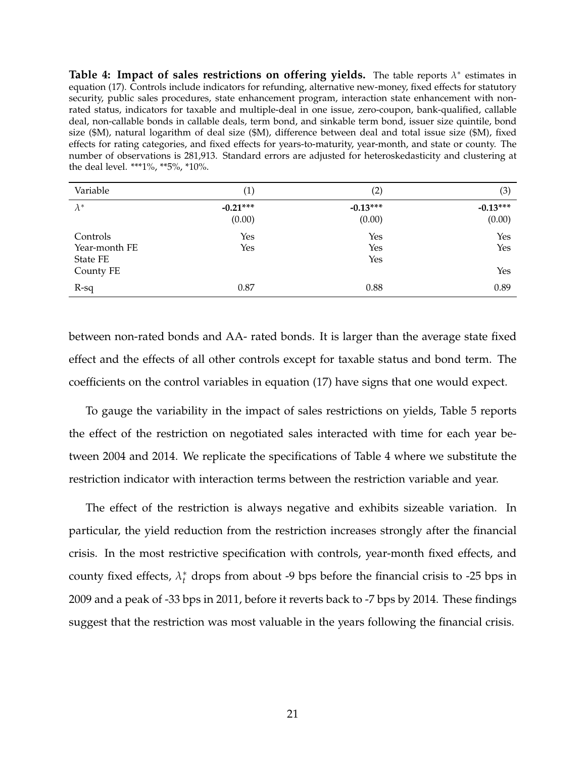**Table 4: Impact of sales restrictions on offering yields.** The table reports  $\lambda^*$  estimates in equation (17). Controls include indicators for refunding, alternative new-money, fixed effects for statutory security, public sales procedures, state enhancement program, interaction state enhancement with nonrated status, indicators for taxable and multiple-deal in one issue, zero-coupon, bank-qualified, callable deal, non-callable bonds in callable deals, term bond, and sinkable term bond, issuer size quintile, bond size (\$M), natural logarithm of deal size (\$M), difference between deal and total issue size (\$M), fixed effects for rating categories, and fixed effects for years-to-maturity, year-month, and state or county. The number of observations is 281,913. Standard errors are adjusted for heteroskedasticity and clustering at the deal level. \*\*\*1%, \*\*5%, \*10%.

| Variable                                           | (1)                  | (2)                  | (3)                  |
|----------------------------------------------------|----------------------|----------------------|----------------------|
| $\lambda^*$                                        | $-0.21***$<br>(0.00) | $-0.13***$<br>(0.00) | $-0.13***$<br>(0.00) |
| Controls<br>Year-month FE<br>State FE<br>County FE | Yes<br>Yes           | Yes<br>Yes<br>Yes    | Yes<br>Yes<br>Yes    |
| $R-sq$                                             | 0.87                 | 0.88                 | 0.89                 |

between non-rated bonds and AA- rated bonds. It is larger than the average state fixed effect and the effects of all other controls except for taxable status and bond term. The coefficients on the control variables in equation (17) have signs that one would expect.

To gauge the variability in the impact of sales restrictions on yields, Table 5 reports the effect of the restriction on negotiated sales interacted with time for each year between 2004 and 2014. We replicate the specifications of Table 4 where we substitute the restriction indicator with interaction terms between the restriction variable and year.

The effect of the restriction is always negative and exhibits sizeable variation. In particular, the yield reduction from the restriction increases strongly after the financial crisis. In the most restrictive specification with controls, year-month fixed effects, and county fixed effects,  $\lambda_t^*$  drops from about -9 bps before the financial crisis to -25 bps in 2009 and a peak of -33 bps in 2011, before it reverts back to -7 bps by 2014. These findings suggest that the restriction was most valuable in the years following the financial crisis.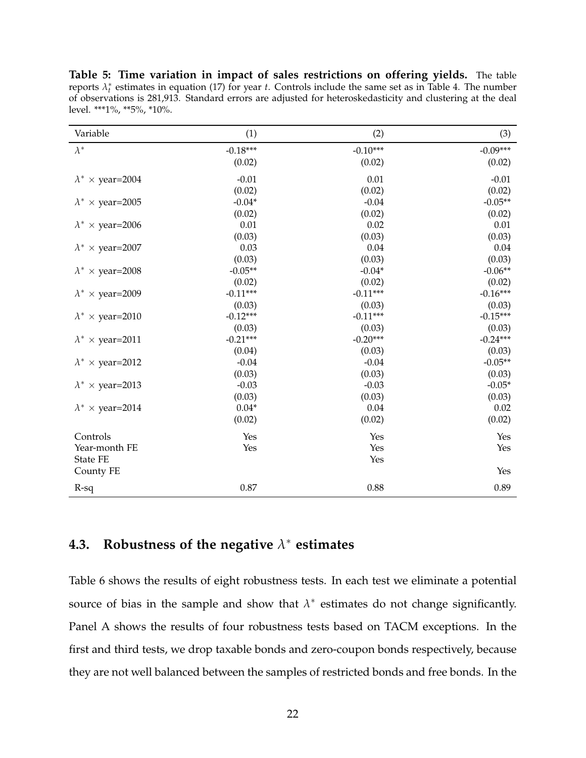**Table 5: Time variation in impact of sales restrictions on offering yields.** The table reports  $\lambda_t^*$  estimates in equation (17) for year *t*. Controls include the same set as in Table 4. The number of observations is 281,913. Standard errors are adjusted for heteroskedasticity and clustering at the deal level. \*\*\*1%, \*\*5%, \*10%.

| Variable                     | (1)        | (2)        | (3)        |
|------------------------------|------------|------------|------------|
| $\lambda^*$                  | $-0.18***$ | $-0.10***$ | $-0.09***$ |
|                              | (0.02)     | (0.02)     | (0.02)     |
| $\lambda^* \times$ year=2004 | $-0.01$    | 0.01       | $-0.01$    |
|                              | (0.02)     | (0.02)     | (0.02)     |
| $\lambda^* \times$ year=2005 | $-0.04*$   | $-0.04$    | $-0.05**$  |
|                              | (0.02)     | (0.02)     | (0.02)     |
| $\lambda^* \times$ year=2006 | 0.01       | 0.02       | 0.01       |
|                              | (0.03)     | (0.03)     | (0.03)     |
| $\lambda^* \times$ year=2007 | 0.03       | 0.04       | 0.04       |
|                              | (0.03)     | (0.03)     | (0.03)     |
| $\lambda^* \times$ year=2008 | $-0.05**$  | $-0.04*$   | $-0.06**$  |
|                              | (0.02)     | (0.02)     | (0.02)     |
| $\lambda^* \times$ year=2009 | $-0.11***$ | $-0.11***$ | $-0.16***$ |
|                              | (0.03)     | (0.03)     | (0.03)     |
| $\lambda^* \times$ year=2010 | $-0.12***$ | $-0.11***$ | $-0.15***$ |
|                              | (0.03)     | (0.03)     | (0.03)     |
| $\lambda^* \times$ year=2011 | $-0.21***$ | $-0.20***$ | $-0.24***$ |
|                              | (0.04)     | (0.03)     | (0.03)     |
| $\lambda^* \times$ year=2012 | $-0.04$    | $-0.04$    | $-0.05**$  |
|                              | (0.03)     | (0.03)     | (0.03)     |
| $\lambda^* \times$ year=2013 | $-0.03$    | $-0.03$    | $-0.05*$   |
|                              | (0.03)     | (0.03)     | (0.03)     |
| $\lambda^* \times$ year=2014 | $0.04*$    | 0.04       | 0.02       |
|                              | (0.02)     | (0.02)     | (0.02)     |
| Controls                     | Yes        | Yes        | Yes        |
| Year-month FE                | Yes        | Yes        | Yes        |
| <b>State FE</b>              |            | Yes        |            |
| County FE                    |            |            | Yes        |
| $R-sq$                       | 0.87       | 0.88       | 0.89       |

### **4.3. Robustness of the negative** *λ* <sup>∗</sup> **estimates**

Table 6 shows the results of eight robustness tests. In each test we eliminate a potential source of bias in the sample and show that  $\lambda^*$  estimates do not change significantly. Panel A shows the results of four robustness tests based on TACM exceptions. In the first and third tests, we drop taxable bonds and zero-coupon bonds respectively, because they are not well balanced between the samples of restricted bonds and free bonds. In the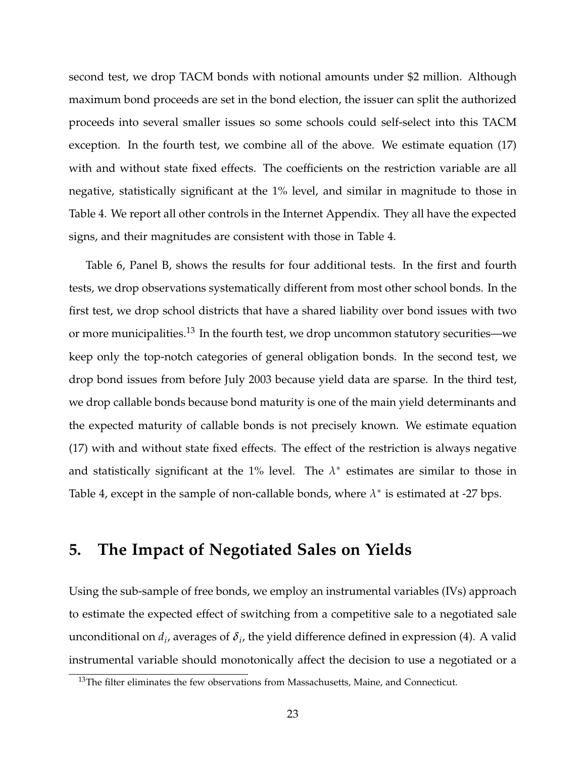second test, we drop TACM bonds with notional amounts under \$2 million. Although maximum bond proceeds are set in the bond election, the issuer can split the authorized proceeds into several smaller issues so some schools could self-select into this TACM exception. In the fourth test, we combine all of the above. We estimate equation (17) with and without state fixed effects. The coefficients on the restriction variable are all negative, statistically significant at the 1% level, and similar in magnitude to those in Table 4. We report all other controls in the Internet Appendix. They all have the expected signs, and their magnitudes are consistent with those in Table 4.

Table 6, Panel B, shows the results for four additional tests. In the first and fourth tests, we drop observations systematically different from most other school bonds. In the first test, we drop school districts that have a shared liability over bond issues with two or more municipalities.<sup>13</sup> In the fourth test, we drop uncommon statutory securities—we keep only the top-notch categories of general obligation bonds. In the second test, we drop bond issues from before July 2003 because yield data are sparse. In the third test, we drop callable bonds because bond maturity is one of the main yield determinants and the expected maturity of callable bonds is not precisely known. We estimate equation (17) with and without state fixed effects. The effect of the restriction is always negative and statistically significant at the 1% level. The  $\lambda^*$  estimates are similar to those in Table 4, except in the sample of non-callable bonds, where  $\lambda^*$  is estimated at -27 bps.

### **5. The Impact of Negotiated Sales on Yields**

Using the sub-sample of free bonds, we employ an instrumental variables (IVs) approach to estimate the expected effect of switching from a competitive sale to a negotiated sale unconditional on  $d_i$ , averages of  $\delta_i$ , the yield difference defined in expression (4). A valid instrumental variable should monotonically affect the decision to use a negotiated or a

 $13$ The filter eliminates the few observations from Massachusetts, Maine, and Connecticut.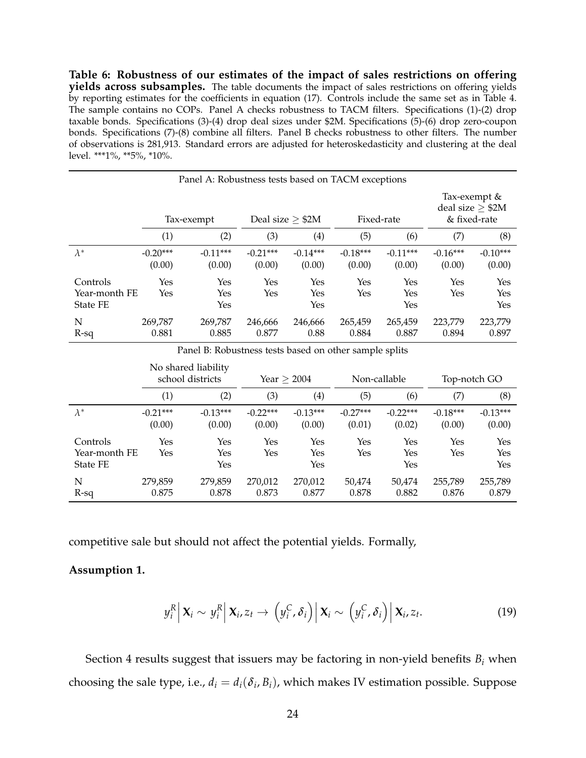**Table 6: Robustness of our estimates of the impact of sales restrictions on offering yields across subsamples.** The table documents the impact of sales restrictions on offering yields by reporting estimates for the coefficients in equation (17). Controls include the same set as in Table 4. The sample contains no COPs. Panel A checks robustness to TACM filters. Specifications (1)-(2) drop taxable bonds. Specifications (3)-(4) drop deal sizes under \$2M. Specifications (5)-(6) drop zero-coupon bonds. Specifications (7)-(8) combine all filters. Panel B checks robustness to other filters. The number of observations is 281,913. Standard errors are adjusted for heteroskedasticity and clustering at the deal level. \*\*\*1%, \*\*5%, \*10%.

| Panel A: Robustness tests based on TACM exceptions |                      |                      |                       |                      |                      |                      |                                                   |                      |  |  |
|----------------------------------------------------|----------------------|----------------------|-----------------------|----------------------|----------------------|----------------------|---------------------------------------------------|----------------------|--|--|
|                                                    | Tax-exempt           |                      | Deal size $\geq$ \$2M |                      | Fixed-rate           |                      | Tax-exempt &<br>deal size $> $2M$<br>& fixed-rate |                      |  |  |
|                                                    | (1)                  | (2)                  | (3)                   | (4)                  | (5)                  | (6)                  | (7)                                               | (8)                  |  |  |
| $\lambda^*$                                        | $-0.20***$<br>(0.00) | $-0.11***$<br>(0.00) | $-0.21***$<br>(0.00)  | $-0.14***$<br>(0.00) | $-0.18***$<br>(0.00) | $-0.11***$<br>(0.00) | $-0.16***$<br>(0.00)                              | $-0.10***$<br>(0.00) |  |  |
| Controls<br>Year-month FE<br><b>State FE</b>       | Yes<br>Yes           | Yes<br>Yes<br>Yes    | Yes<br>Yes            | Yes<br>Yes<br>Yes    | Yes<br>Yes           | Yes<br>Yes<br>Yes    | Yes<br>Yes                                        | Yes<br>Yes<br>Yes    |  |  |
| N<br>$R-sq$                                        | 269,787<br>0.881     | 269,787<br>0.885     | 246,666<br>0.877      | 246,666<br>0.88      | 265,459<br>0.884     | 265,459<br>0.887     | 223,779<br>0.894                                  | 223,779<br>0.897     |  |  |

Panel B: Robustness tests based on other sample splits

|                                              | No shared liability<br>school districts |                      | Year $\geq 2004$     |                      | Non-callable         |                      | Top-notch GO         |                      |
|----------------------------------------------|-----------------------------------------|----------------------|----------------------|----------------------|----------------------|----------------------|----------------------|----------------------|
|                                              | (1)                                     | (2)                  | (3)                  | (4)                  | (5)                  | (6)                  | (7)                  | (8)                  |
| $\lambda^*$                                  | $-0.21***$<br>(0.00)                    | $-0.13***$<br>(0.00) | $-0.22***$<br>(0.00) | $-0.13***$<br>(0.00) | $-0.27***$<br>(0.01) | $-0.22***$<br>(0.02) | $-0.18***$<br>(0.00) | $-0.13***$<br>(0.00) |
| Controls<br>Year-month FE<br><b>State FE</b> | Yes<br>Yes                              | Yes<br>Yes<br>Yes    | Yes<br>Yes           | Yes<br>Yes<br>Yes    | Yes<br>Yes           | Yes<br>Yes<br>Yes    | Yes<br>Yes           | Yes<br>Yes<br>Yes    |
| N<br>$R-sq$                                  | 279,859<br>0.875                        | 279,859<br>0.878     | 270,012<br>0.873     | 270,012<br>0.877     | 50,474<br>0.878      | 50,474<br>0.882      | 255,789<br>0.876     | 255,789<br>0.879     |

competitive sale but should not affect the potential yields. Formally,

#### **Assumption 1.**

$$
y_i^R \left| \mathbf{X}_i \sim y_i^R \right| \mathbf{X}_i, z_t \to \left( y_i^C, \delta_i \right) \left| \mathbf{X}_i \sim \left( y_i^C, \delta_i \right) \right| \mathbf{X}_i, z_t.
$$
 (19)

Section 4 results suggest that issuers may be factoring in non-yield benefits *B<sup>i</sup>* when choosing the sale type, i.e.,  $d_i = d_i(\delta_i, B_i)$ , which makes IV estimation possible. Suppose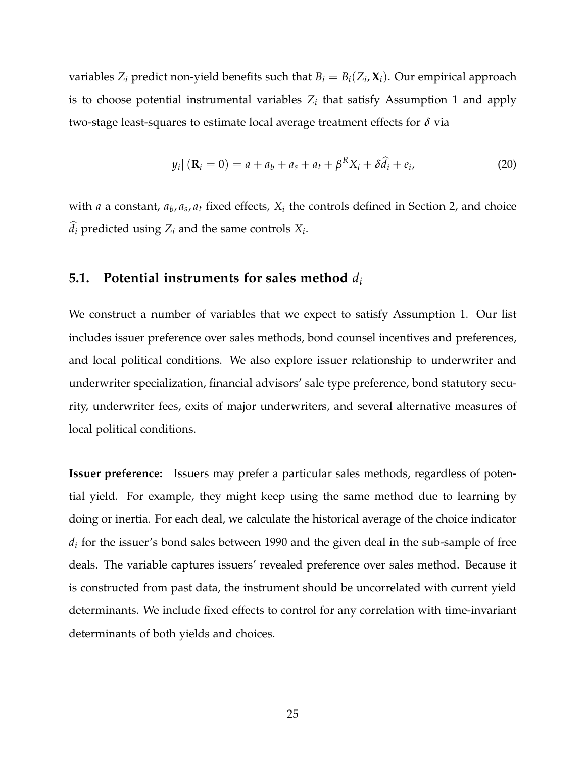variables  $Z_i$  predict non-yield benefits such that  $B_i = B_i(Z_i, \mathbf{X}_i)$ . Our empirical approach is to choose potential instrumental variables  $Z_i$  that satisfy Assumption 1 and apply two-stage least-squares to estimate local average treatment effects for *δ* via

$$
y_i | (\mathbf{R}_i = 0) = a + a_b + a_s + a_t + \beta^R X_i + \delta \hat{d}_i + e_i,
$$
 (20)

with *a* a constant,  $a_b$ ,  $a_s$ ,  $a_t$  fixed effects,  $X_i$  the controls defined in Section 2, and choice  $d_i$  predicted using  $Z_i$  and the same controls  $X_i$ .

#### **5.1. Potential instruments for sales method** *d<sup>i</sup>*

We construct a number of variables that we expect to satisfy Assumption 1. Our list includes issuer preference over sales methods, bond counsel incentives and preferences, and local political conditions. We also explore issuer relationship to underwriter and underwriter specialization, financial advisors' sale type preference, bond statutory security, underwriter fees, exits of major underwriters, and several alternative measures of local political conditions.

**Issuer preference:** Issuers may prefer a particular sales methods, regardless of potential yield. For example, they might keep using the same method due to learning by doing or inertia. For each deal, we calculate the historical average of the choice indicator  $d_i$  for the issuer's bond sales between 1990 and the given deal in the sub-sample of free deals. The variable captures issuers' revealed preference over sales method. Because it is constructed from past data, the instrument should be uncorrelated with current yield determinants. We include fixed effects to control for any correlation with time-invariant determinants of both yields and choices.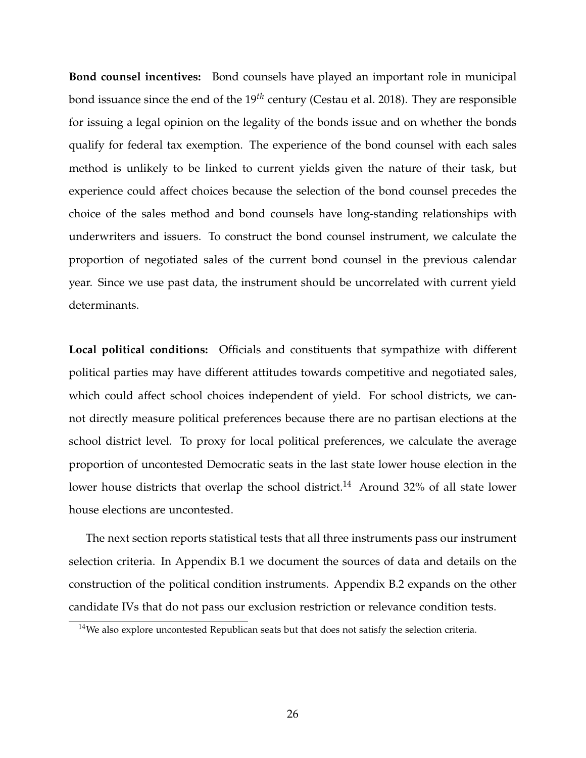**Bond counsel incentives:** Bond counsels have played an important role in municipal bond issuance since the end of the 19*th* century (Cestau et al. 2018). They are responsible for issuing a legal opinion on the legality of the bonds issue and on whether the bonds qualify for federal tax exemption. The experience of the bond counsel with each sales method is unlikely to be linked to current yields given the nature of their task, but experience could affect choices because the selection of the bond counsel precedes the choice of the sales method and bond counsels have long-standing relationships with underwriters and issuers. To construct the bond counsel instrument, we calculate the proportion of negotiated sales of the current bond counsel in the previous calendar year. Since we use past data, the instrument should be uncorrelated with current yield determinants.

**Local political conditions:** Officials and constituents that sympathize with different political parties may have different attitudes towards competitive and negotiated sales, which could affect school choices independent of yield. For school districts, we cannot directly measure political preferences because there are no partisan elections at the school district level. To proxy for local political preferences, we calculate the average proportion of uncontested Democratic seats in the last state lower house election in the lower house districts that overlap the school district.<sup>14</sup> Around 32% of all state lower house elections are uncontested.

The next section reports statistical tests that all three instruments pass our instrument selection criteria. In Appendix B.1 we document the sources of data and details on the construction of the political condition instruments. Appendix B.2 expands on the other candidate IVs that do not pass our exclusion restriction or relevance condition tests.

 $14$ We also explore uncontested Republican seats but that does not satisfy the selection criteria.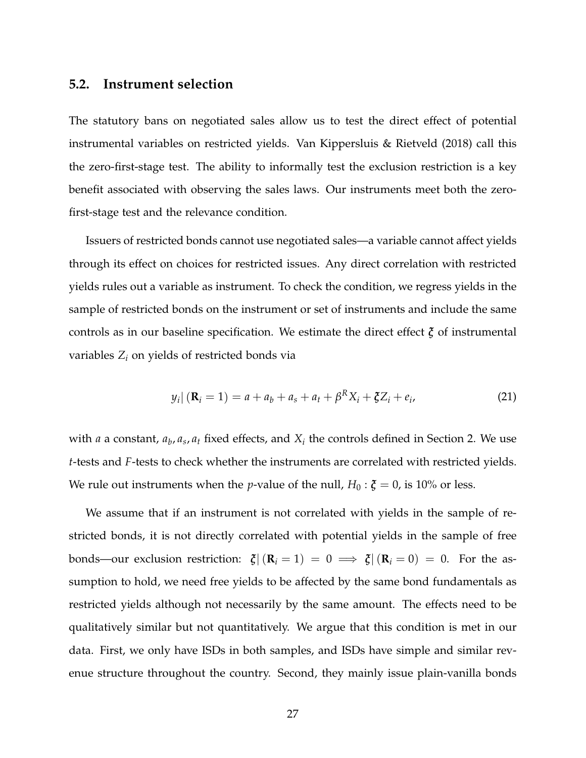#### **5.2. Instrument selection**

The statutory bans on negotiated sales allow us to test the direct effect of potential instrumental variables on restricted yields. Van Kippersluis & Rietveld (2018) call this the zero-first-stage test. The ability to informally test the exclusion restriction is a key benefit associated with observing the sales laws. Our instruments meet both the zerofirst-stage test and the relevance condition.

Issuers of restricted bonds cannot use negotiated sales—a variable cannot affect yields through its effect on choices for restricted issues. Any direct correlation with restricted yields rules out a variable as instrument. To check the condition, we regress yields in the sample of restricted bonds on the instrument or set of instruments and include the same controls as in our baseline specification. We estimate the direct effect *ξ* of instrumental variables  $Z_i$  on yields of restricted bonds via

$$
y_i | (\mathbf{R}_i = 1) = a + a_b + a_s + a_t + \beta^R X_i + \xi Z_i + e_i,
$$
 (21)

with *a* a constant,  $a_b$ ,  $a_s$ ,  $a_t$  fixed effects, and  $X_i$  the controls defined in Section 2. We use *t*-tests and *F*-tests to check whether the instruments are correlated with restricted yields. We rule out instruments when the *p*-value of the null,  $H_0: \xi = 0$ , is 10% or less.

We assume that if an instrument is not correlated with yields in the sample of restricted bonds, it is not directly correlated with potential yields in the sample of free bonds—our exclusion restriction:  $\zeta | (\mathbf{R}_i = 1) = 0 \implies \zeta | (\mathbf{R}_i = 0) = 0$ . For the assumption to hold, we need free yields to be affected by the same bond fundamentals as restricted yields although not necessarily by the same amount. The effects need to be qualitatively similar but not quantitatively. We argue that this condition is met in our data. First, we only have ISDs in both samples, and ISDs have simple and similar revenue structure throughout the country. Second, they mainly issue plain-vanilla bonds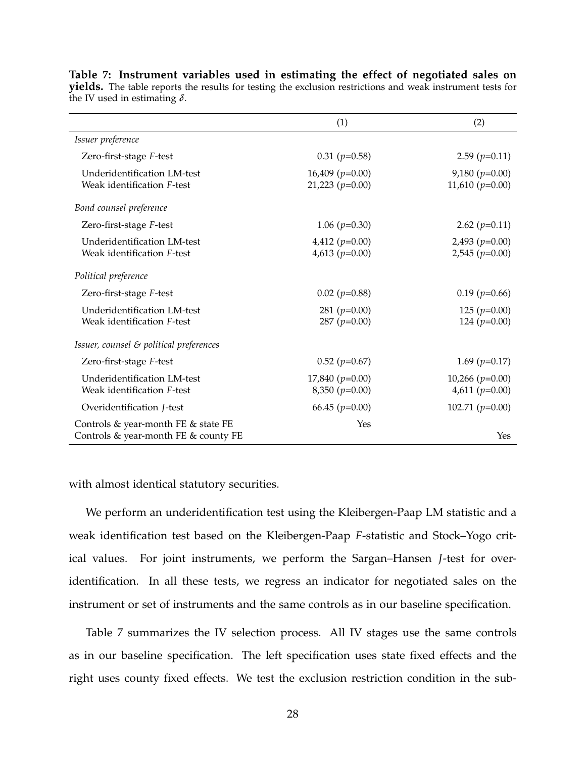|                                                                             | (1)                                    | (2)                                   |
|-----------------------------------------------------------------------------|----------------------------------------|---------------------------------------|
| Issuer preference                                                           |                                        |                                       |
| Zero-first-stage F-test                                                     | $0.31$ ( $p=0.58$ )                    | $2.59$ ( $p=0.11$ )                   |
| Underidentification LM-test<br>Weak identification F-test                   | $16,409 (p=0.00)$<br>$21,223 (p=0.00)$ | $9,180 (p=0.00)$<br>11,610 $(p=0.00)$ |
| Bond counsel preference                                                     |                                        |                                       |
| Zero-first-stage F-test                                                     | 1.06 $(p=0.30)$                        | 2.62 $(p=0.11)$                       |
| Underidentification LM-test<br>Weak identification F-test                   | 4,412 ( $p=0.00$ )<br>4,613 $(p=0.00)$ | $2,493 (p=0.00)$<br>$2,545 (p=0.00)$  |
| Political preference                                                        |                                        |                                       |
| Zero-first-stage F-test                                                     | $0.02$ ( $p=0.88$ )                    | $0.19$ ( $p=0.66$ )                   |
| Underidentification LM-test<br>Weak identification F-test                   | 281 ( $p=0.00$ )<br>287 ( $p=0.00$ )   | 125 $(p=0.00)$<br>124 ( $p=0.00$ )    |
| Issuer, counsel $\varepsilon$ political preferences                         |                                        |                                       |
| Zero-first-stage F-test                                                     | $0.52$ ( $p=0.67$ )                    | 1.69 $(p=0.17)$                       |
| Underidentification LM-test<br>Weak identification F-test                   | $17,840 (p=0.00)$<br>$8,350 (p=0.00)$  | $10,266 (p=0.00)$<br>4,611 $(p=0.00)$ |
| Overidentification <i>J</i> -test                                           | 66.45 $(p=0.00)$                       | 102.71 $(p=0.00)$                     |
| Controls & year-month FE & state FE<br>Controls & year-month FE & county FE | Yes                                    | Yes                                   |

**Table 7: Instrument variables used in estimating the effect of negotiated sales on yields.** The table reports the results for testing the exclusion restrictions and weak instrument tests for the IV used in estimating *δ*.

with almost identical statutory securities.

We perform an underidentification test using the Kleibergen-Paap LM statistic and a weak identification test based on the Kleibergen-Paap *F*-statistic and Stock–Yogo critical values. For joint instruments, we perform the Sargan–Hansen *J*-test for overidentification. In all these tests, we regress an indicator for negotiated sales on the instrument or set of instruments and the same controls as in our baseline specification.

Table 7 summarizes the IV selection process. All IV stages use the same controls as in our baseline specification. The left specification uses state fixed effects and the right uses county fixed effects. We test the exclusion restriction condition in the sub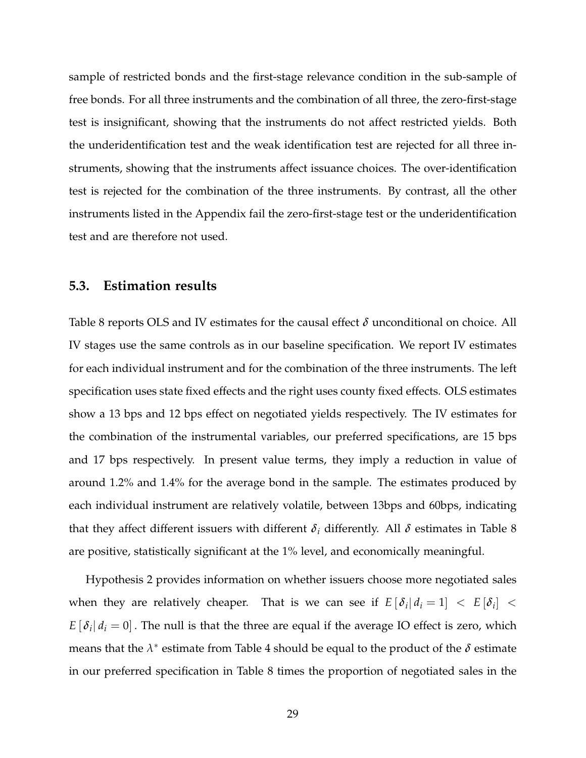sample of restricted bonds and the first-stage relevance condition in the sub-sample of free bonds. For all three instruments and the combination of all three, the zero-first-stage test is insignificant, showing that the instruments do not affect restricted yields. Both the underidentification test and the weak identification test are rejected for all three instruments, showing that the instruments affect issuance choices. The over-identification test is rejected for the combination of the three instruments. By contrast, all the other instruments listed in the Appendix fail the zero-first-stage test or the underidentification test and are therefore not used.

#### **5.3. Estimation results**

Table 8 reports OLS and IV estimates for the causal effect *δ* unconditional on choice. All IV stages use the same controls as in our baseline specification. We report IV estimates for each individual instrument and for the combination of the three instruments. The left specification uses state fixed effects and the right uses county fixed effects. OLS estimates show a 13 bps and 12 bps effect on negotiated yields respectively. The IV estimates for the combination of the instrumental variables, our preferred specifications, are 15 bps and 17 bps respectively. In present value terms, they imply a reduction in value of around 1.2% and 1.4% for the average bond in the sample. The estimates produced by each individual instrument are relatively volatile, between 13bps and 60bps, indicating that they affect different issuers with different  $\delta_i$  differently. All  $\delta$  estimates in Table 8 are positive, statistically significant at the 1% level, and economically meaningful.

Hypothesis 2 provides information on whether issuers choose more negotiated sales when they are relatively cheaper. That is we can see if  $E[\delta_i|d_i=1] < E[\delta_i] <$  $E[\delta_i|d_i=0]$  . The null is that the three are equal if the average IO effect is zero, which means that the  $\lambda^*$  estimate from Table 4 should be equal to the product of the  $\delta$  estimate in our preferred specification in Table 8 times the proportion of negotiated sales in the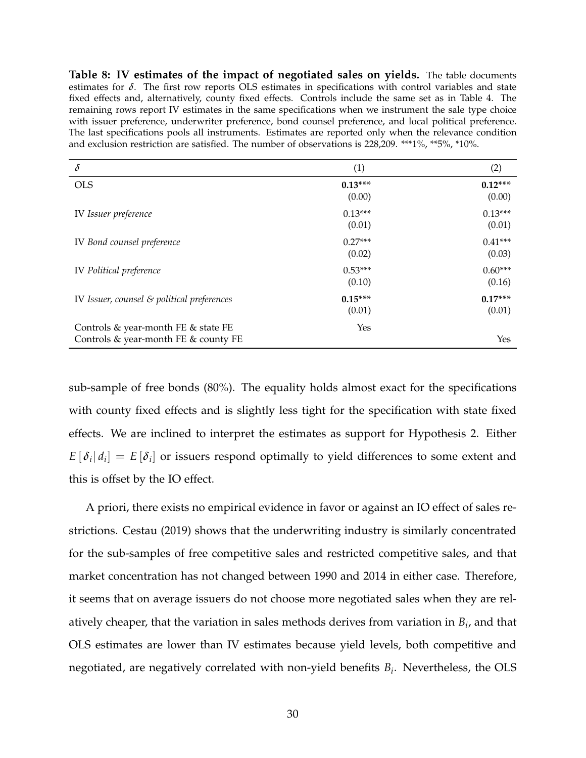**Table 8: IV estimates of the impact of negotiated sales on yields.** The table documents estimates for *δ*. The first row reports OLS estimates in specifications with control variables and state fixed effects and, alternatively, county fixed effects. Controls include the same set as in Table 4. The remaining rows report IV estimates in the same specifications when we instrument the sale type choice with issuer preference, underwriter preference, bond counsel preference, and local political preference. The last specifications pools all instruments. Estimates are reported only when the relevance condition and exclusion restriction are satisfied. The number of observations is 228,209. \*\*\*1%, \*\*5%, \*10%.

| $\delta$                                                                    | (1)                 | (2)                 |
|-----------------------------------------------------------------------------|---------------------|---------------------|
| <b>OLS</b>                                                                  | $0.13***$<br>(0.00) | $0.12***$<br>(0.00) |
| IV Issuer preference                                                        | $0.13***$<br>(0.01) | $0.13***$<br>(0.01) |
| IV Bond counsel preference                                                  | $0.27***$<br>(0.02) | $0.41***$<br>(0.03) |
| IV Political preference                                                     | $0.53***$<br>(0.10) | $0.60***$<br>(0.16) |
| IV Issuer, counsel $\varepsilon$ political preferences                      | $0.15***$<br>(0.01) | $0.17***$<br>(0.01) |
| Controls & year-month FE & state FE<br>Controls & year-month FE & county FE | Yes                 | Yes                 |

sub-sample of free bonds (80%). The equality holds almost exact for the specifications with county fixed effects and is slightly less tight for the specification with state fixed effects. We are inclined to interpret the estimates as support for Hypothesis 2. Either  $E[\delta_i|d_i] = E[\delta_i]$  or issuers respond optimally to yield differences to some extent and this is offset by the IO effect.

A priori, there exists no empirical evidence in favor or against an IO effect of sales restrictions. Cestau (2019) shows that the underwriting industry is similarly concentrated for the sub-samples of free competitive sales and restricted competitive sales, and that market concentration has not changed between 1990 and 2014 in either case. Therefore, it seems that on average issuers do not choose more negotiated sales when they are relatively cheaper, that the variation in sales methods derives from variation in *B<sup>i</sup>* , and that OLS estimates are lower than IV estimates because yield levels, both competitive and negotiated, are negatively correlated with non-yield benefits *B<sup>i</sup>* . Nevertheless, the OLS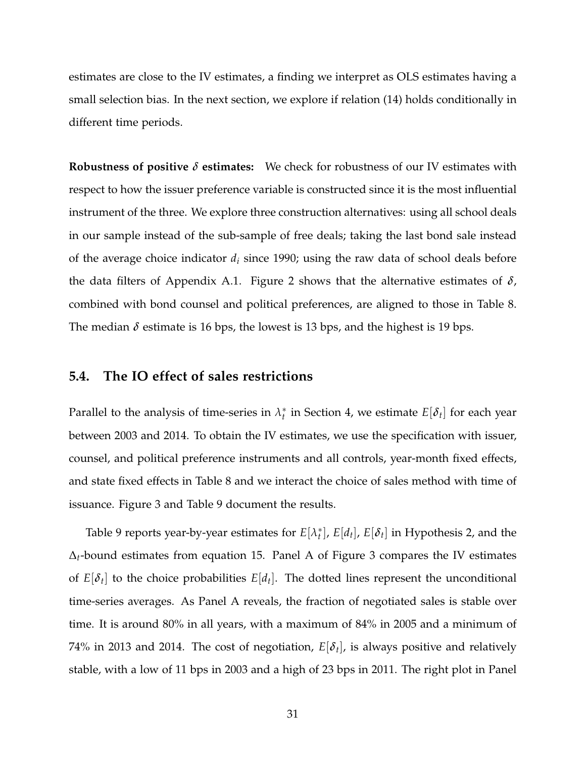estimates are close to the IV estimates, a finding we interpret as OLS estimates having a small selection bias. In the next section, we explore if relation (14) holds conditionally in different time periods.

**Robustness of positive** *δ* **estimates:** We check for robustness of our IV estimates with respect to how the issuer preference variable is constructed since it is the most influential instrument of the three. We explore three construction alternatives: using all school deals in our sample instead of the sub-sample of free deals; taking the last bond sale instead of the average choice indicator *d<sup>i</sup>* since 1990; using the raw data of school deals before the data filters of Appendix A.1. Figure 2 shows that the alternative estimates of *δ*, combined with bond counsel and political preferences, are aligned to those in Table 8. The median  $\delta$  estimate is 16 bps, the lowest is 13 bps, and the highest is 19 bps.

#### **5.4. The IO effect of sales restrictions**

Parallel to the analysis of time-series in *λ* ∗  $t_t^*$  in Section 4, we estimate  $E[\delta_t]$  for each year between 2003 and 2014. To obtain the IV estimates, we use the specification with issuer, counsel, and political preference instruments and all controls, year-month fixed effects, and state fixed effects in Table 8 and we interact the choice of sales method with time of issuance. Figure 3 and Table 9 document the results.

Table 9 reports year-by-year estimates for *E*[*λ* ∗  $t_t^*$ ,  $E[d_t]$ ,  $E[\delta_t]$  in Hypothesis 2, and the ∆*t*-bound estimates from equation 15. Panel A of Figure 3 compares the IV estimates of  $E[\delta_t]$  to the choice probabilities  $E[d_t]$ . The dotted lines represent the unconditional time-series averages. As Panel A reveals, the fraction of negotiated sales is stable over time. It is around 80% in all years, with a maximum of 84% in 2005 and a minimum of 74% in 2013 and 2014. The cost of negotiation,  $E[\delta_t]$ , is always positive and relatively stable, with a low of 11 bps in 2003 and a high of 23 bps in 2011. The right plot in Panel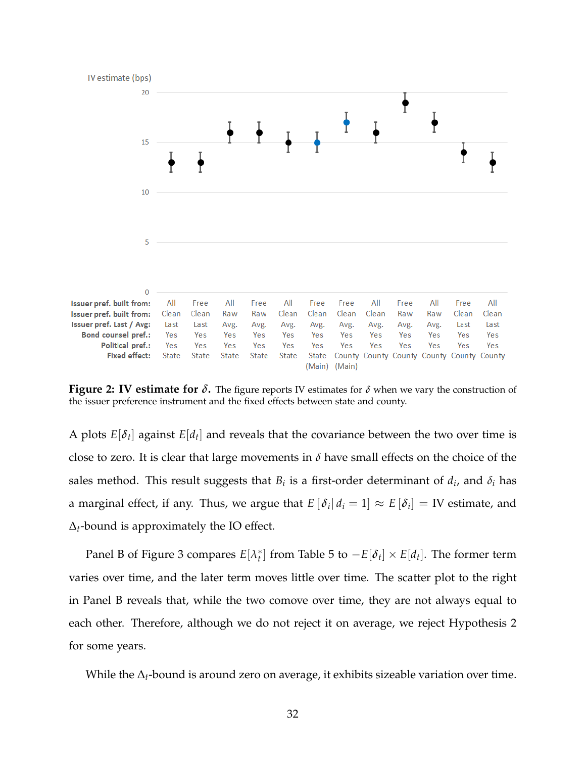

**Figure 2: IV estimate for**  $\delta$ **.** The figure reports IV estimates for  $\delta$  when we vary the construction of the issuer preference instrument and the fixed effects between state and county.

A plots  $E[\delta_t]$  against  $E[d_t]$  and reveals that the covariance between the two over time is close to zero. It is clear that large movements in *δ* have small effects on the choice of the sales method. This result suggests that  $B_i$  is a first-order determinant of  $d_i$ , and  $\delta_i$  has a marginal effect, if any. Thus, we argue that  $E\left[ \left. \delta_i \right|d_i=1 \right] \approx E\left[ \delta_i \right] = \text{IV}$  estimate, and ∆*t*-bound is approximately the IO effect.

Panel B of Figure 3 compares *E*[*λ* ∗  $\mathcal{L}_t^*$  from Table 5 to  $-E[\delta_t] \times E[d_t]$ . The former term varies over time, and the later term moves little over time. The scatter plot to the right in Panel B reveals that, while the two comove over time, they are not always equal to each other. Therefore, although we do not reject it on average, we reject Hypothesis 2 for some years.

While the ∆*t*-bound is around zero on average, it exhibits sizeable variation over time.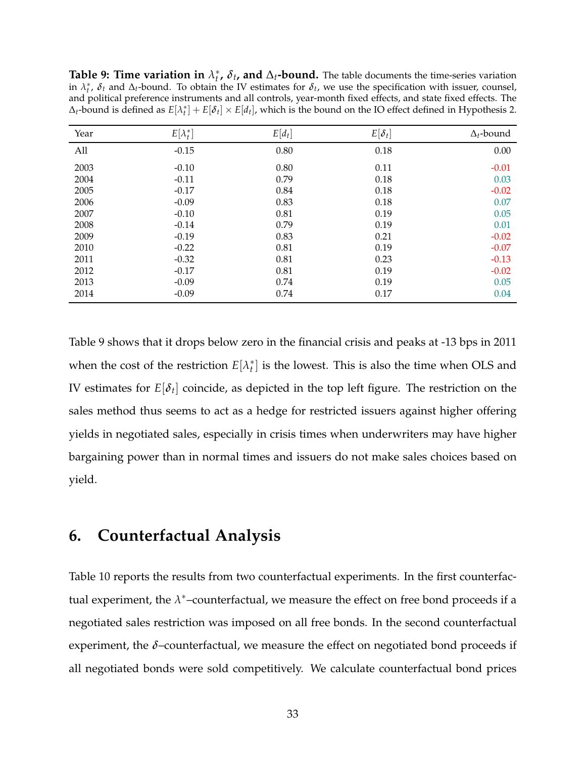**Table 9: Time variation in** *λ* ∗  $\hat{b}_t$ ,  $\delta_t$ , and  $\Delta_t$ -bound. The table documents the time-series variation in  $\lambda_t^*$ ,  $\delta_t$  and  $\Delta_t$ -bound. To obtain the IV estimates for  $\delta_t$ , we use the specification with issuer, counsel, and political preference instruments and all controls, year-month fixed effects, and state fixed effects. The  $\Delta_t$ -bound is defined as  $E[\lambda_t^*]+E[\delta_t]\times E[d_t]$ , which is the bound on the IO effect defined in Hypothesis 2.

| Year | $E[\lambda_t^*]$ | $E[d_t]$ | $E[\delta_t]$ | $\Delta_t$ -bound |
|------|------------------|----------|---------------|-------------------|
| All  | $-0.15$          | 0.80     | 0.18          | 0.00              |
| 2003 | $-0.10$          | 0.80     | 0.11          | $-0.01$           |
| 2004 | $-0.11$          | 0.79     | 0.18          | 0.03              |
| 2005 | $-0.17$          | 0.84     | 0.18          | $-0.02$           |
| 2006 | $-0.09$          | 0.83     | 0.18          | 0.07              |
| 2007 | $-0.10$          | 0.81     | 0.19          | 0.05              |
| 2008 | $-0.14$          | 0.79     | 0.19          | 0.01              |
| 2009 | $-0.19$          | 0.83     | 0.21          | $-0.02$           |
| 2010 | $-0.22$          | 0.81     | 0.19          | $-0.07$           |
| 2011 | $-0.32$          | 0.81     | 0.23          | $-0.13$           |
| 2012 | $-0.17$          | 0.81     | 0.19          | $-0.02$           |
| 2013 | $-0.09$          | 0.74     | 0.19          | 0.05              |
| 2014 | $-0.09$          | 0.74     | 0.17          | 0.04              |

Table 9 shows that it drops below zero in the financial crisis and peaks at -13 bps in 2011 when the cost of the restriction *E*[*λ* ∗  $t<sub>t</sub><sup>*</sup>$ ] is the lowest. This is also the time when OLS and IV estimates for *E*[*δ<sup>t</sup>* ] coincide, as depicted in the top left figure. The restriction on the sales method thus seems to act as a hedge for restricted issuers against higher offering yields in negotiated sales, especially in crisis times when underwriters may have higher bargaining power than in normal times and issuers do not make sales choices based on yield.

### **6. Counterfactual Analysis**

Table 10 reports the results from two counterfactual experiments. In the first counterfactual experiment, the  $\lambda^*$ -counterfactual, we measure the effect on free bond proceeds if a negotiated sales restriction was imposed on all free bonds. In the second counterfactual experiment, the *δ*–counterfactual, we measure the effect on negotiated bond proceeds if all negotiated bonds were sold competitively. We calculate counterfactual bond prices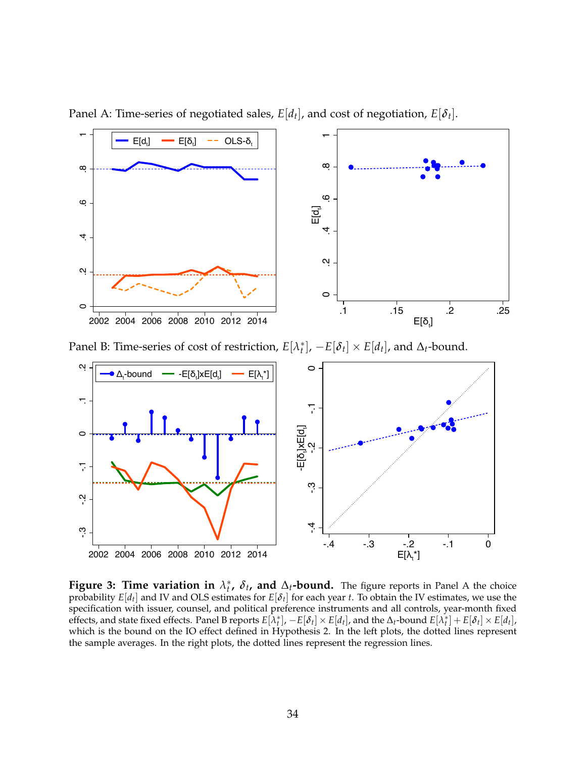

Panel A: Time-series of negotiated sales,  $E[d_t]$ , and cost of negotiation,  $E[\delta_t]$ .

Panel B: Time-series of cost of restriction, *E*[*λ* ∗  $\mathcal{L}_t^*$ ],  $-E[\delta_t] \times E[d_t]$ , and  $\Delta_t$ -bound.



**Figure 3: Time variation in** *λ* ∗  $\hat{t}$ ,  $\delta$ <sub>t</sub>, and  $\Delta$ <sub>t</sub>**-bound.** The figure reports in Panel A the choice probability *E*[*d<sup>t</sup>* ] and IV and OLS estimates for *E*[*δ<sup>t</sup>* ] for each year *t*. To obtain the IV estimates, we use the specification with issuer, counsel, and political preference instruments and all controls, year-month fixed effects, and state fixed effects. Panel B reports  $E[\lambda_t^*]$ ,  $-E[\delta_t] \times E[d_t]$ , and the  $\Delta_t$ -bound  $E[\lambda_t^*] + E[\delta_t] \times E[d_t]$ , which is the bound on the IO effect defined in Hypothesis 2. In the left plots, the dotted lines represent the sample averages. In the right plots, the dotted lines represent the regression lines.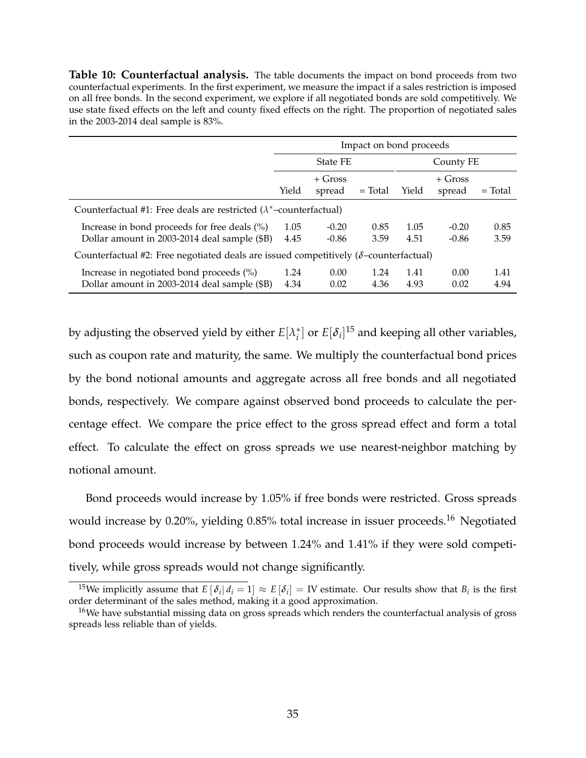**Table 10: Counterfactual analysis.** The table documents the impact on bond proceeds from two counterfactual experiments. In the first experiment, we measure the impact if a sales restriction is imposed on all free bonds. In the second experiment, we explore if all negotiated bonds are sold competitively. We use state fixed effects on the left and county fixed effects on the right. The proportion of negotiated sales in the 2003-2014 deal sample is 83%.

|                                                                                                 | Impact on bond proceeds                                                    |                     |              |              |                    |              |  |
|-------------------------------------------------------------------------------------------------|----------------------------------------------------------------------------|---------------------|--------------|--------------|--------------------|--------------|--|
|                                                                                                 |                                                                            | <b>State FE</b>     |              | County FE    |                    |              |  |
|                                                                                                 | Yield                                                                      | $+$ Gross<br>spread | $=$ Total    | Yield        | + Gross<br>spread  | $=$ Total    |  |
|                                                                                                 | Counterfactual #1: Free deals are restricted $(\lambda^*$ -counterfactual) |                     |              |              |                    |              |  |
| Increase in bond proceeds for free deals $(\%)$<br>Dollar amount in 2003-2014 deal sample (\$B) | 1.05<br>4.45                                                               | $-0.20$<br>$-0.86$  | 0.85<br>3.59 | 1.05<br>4.51 | $-0.20$<br>$-0.86$ | 0.85<br>3.59 |  |
| Counterfactual #2: Free negotiated deals are issued competitively ( $\delta$ -counterfactual)   |                                                                            |                     |              |              |                    |              |  |
| Increase in negotiated bond proceeds $(\%)$<br>Dollar amount in 2003-2014 deal sample (\$B)     | 1.24<br>4.34                                                               | 0.00<br>0.02        | 1.24<br>4.36 | 1.41<br>4.93 | 0.00<br>0.02       | 1.41<br>4.94 |  |

by adjusting the observed yield by either  $E[\lambda_i^*]$  $\binom{*}{i}$  or  $E[\delta_i]^{15}$  and keeping all other variables, such as coupon rate and maturity, the same. We multiply the counterfactual bond prices by the bond notional amounts and aggregate across all free bonds and all negotiated bonds, respectively. We compare against observed bond proceeds to calculate the percentage effect. We compare the price effect to the gross spread effect and form a total effect. To calculate the effect on gross spreads we use nearest-neighbor matching by notional amount.

Bond proceeds would increase by 1.05% if free bonds were restricted. Gross spreads would increase by 0.20%, yielding  $0.85\%$  total increase in issuer proceeds.<sup>16</sup> Negotiated bond proceeds would increase by between 1.24% and 1.41% if they were sold competitively, while gross spreads would not change significantly.

 $^{15}$ We implicitly assume that  $E\left[|\delta_i|\,d_i=1\right]\approx E\left[\delta_i\right]=\text{IV}$  estimate. Our results show that  $B_i$  is the first order determinant of the sales method, making it a good approximation.

<sup>&</sup>lt;sup>16</sup>We have substantial missing data on gross spreads which renders the counterfactual analysis of gross spreads less reliable than of yields.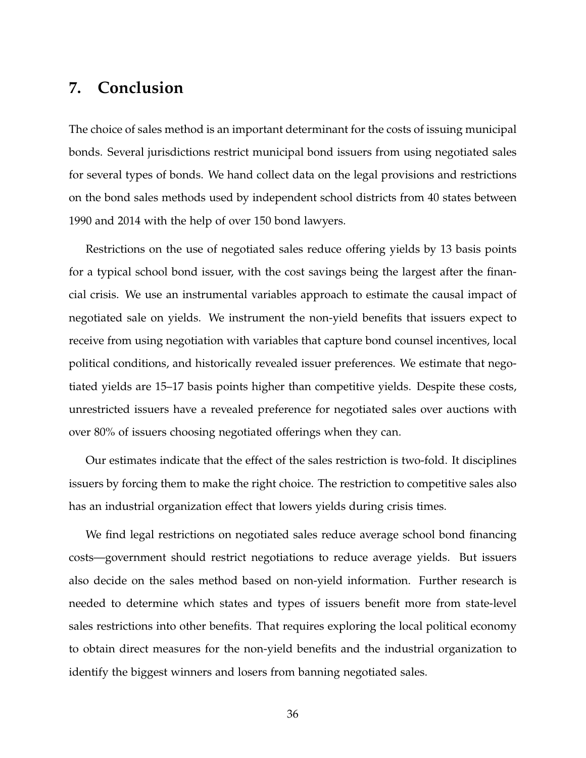### **7. Conclusion**

The choice of sales method is an important determinant for the costs of issuing municipal bonds. Several jurisdictions restrict municipal bond issuers from using negotiated sales for several types of bonds. We hand collect data on the legal provisions and restrictions on the bond sales methods used by independent school districts from 40 states between 1990 and 2014 with the help of over 150 bond lawyers.

Restrictions on the use of negotiated sales reduce offering yields by 13 basis points for a typical school bond issuer, with the cost savings being the largest after the financial crisis. We use an instrumental variables approach to estimate the causal impact of negotiated sale on yields. We instrument the non-yield benefits that issuers expect to receive from using negotiation with variables that capture bond counsel incentives, local political conditions, and historically revealed issuer preferences. We estimate that negotiated yields are 15–17 basis points higher than competitive yields. Despite these costs, unrestricted issuers have a revealed preference for negotiated sales over auctions with over 80% of issuers choosing negotiated offerings when they can.

Our estimates indicate that the effect of the sales restriction is two-fold. It disciplines issuers by forcing them to make the right choice. The restriction to competitive sales also has an industrial organization effect that lowers yields during crisis times.

We find legal restrictions on negotiated sales reduce average school bond financing costs—government should restrict negotiations to reduce average yields. But issuers also decide on the sales method based on non-yield information. Further research is needed to determine which states and types of issuers benefit more from state-level sales restrictions into other benefits. That requires exploring the local political economy to obtain direct measures for the non-yield benefits and the industrial organization to identify the biggest winners and losers from banning negotiated sales.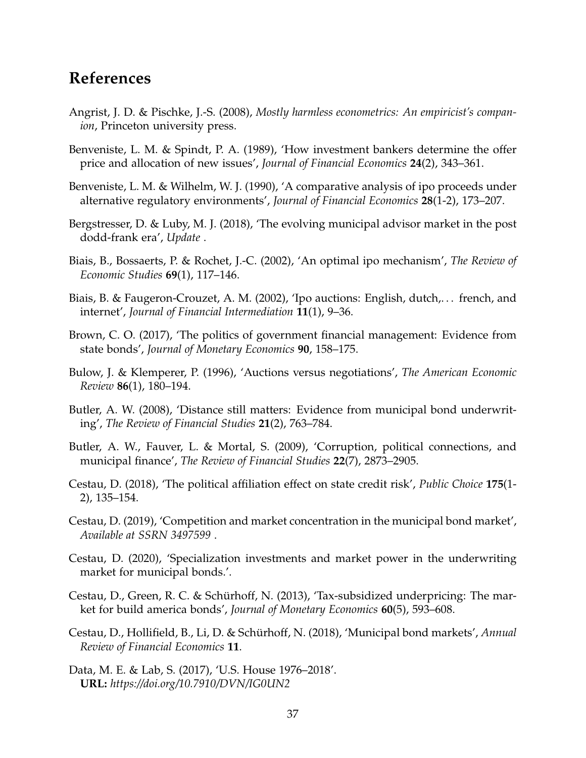### **References**

- Angrist, J. D. & Pischke, J.-S. (2008), *Mostly harmless econometrics: An empiricist's companion*, Princeton university press.
- Benveniste, L. M. & Spindt, P. A. (1989), 'How investment bankers determine the offer price and allocation of new issues', *Journal of Financial Economics* **24**(2), 343–361.
- Benveniste, L. M. & Wilhelm, W. J. (1990), 'A comparative analysis of ipo proceeds under alternative regulatory environments', *Journal of Financial Economics* **28**(1-2), 173–207.
- Bergstresser, D. & Luby, M. J. (2018), 'The evolving municipal advisor market in the post dodd-frank era', *Update* .
- Biais, B., Bossaerts, P. & Rochet, J.-C. (2002), 'An optimal ipo mechanism', *The Review of Economic Studies* **69**(1), 117–146.
- Biais, B. & Faugeron-Crouzet, A. M. (2002), 'Ipo auctions: English, dutch,. . . french, and internet', *Journal of Financial Intermediation* **11**(1), 9–36.
- Brown, C. O. (2017), 'The politics of government financial management: Evidence from state bonds', *Journal of Monetary Economics* **90**, 158–175.
- Bulow, J. & Klemperer, P. (1996), 'Auctions versus negotiations', *The American Economic Review* **86**(1), 180–194.
- Butler, A. W. (2008), 'Distance still matters: Evidence from municipal bond underwriting', *The Review of Financial Studies* **21**(2), 763–784.
- Butler, A. W., Fauver, L. & Mortal, S. (2009), 'Corruption, political connections, and municipal finance', *The Review of Financial Studies* **22**(7), 2873–2905.
- Cestau, D. (2018), 'The political affiliation effect on state credit risk', *Public Choice* **175**(1- 2), 135–154.
- Cestau, D. (2019), 'Competition and market concentration in the municipal bond market', *Available at SSRN 3497599* .
- Cestau, D. (2020), 'Specialization investments and market power in the underwriting market for municipal bonds.'.
- Cestau, D., Green, R. C. & Schürhoff, N. (2013), 'Tax-subsidized underpricing: The market for build america bonds', *Journal of Monetary Economics* **60**(5), 593–608.
- Cestau, D., Hollifield, B., Li, D. & Schürhoff, N. (2018), 'Municipal bond markets', *Annual Review of Financial Economics* **11**.
- Data, M. E. & Lab, S. (2017), 'U.S. House 1976–2018'. **URL:** *https://doi.org/10.7910/DVN/IG0UN2*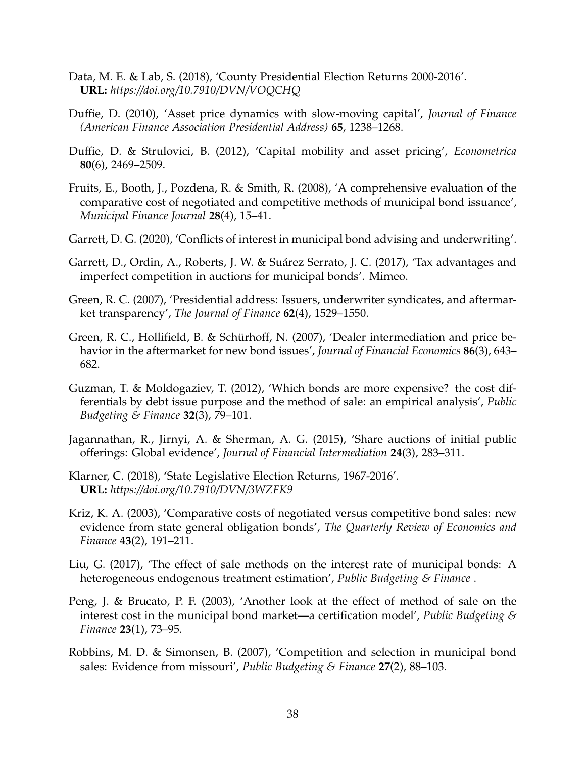- Data, M. E. & Lab, S. (2018), 'County Presidential Election Returns 2000-2016'. **URL:** *https://doi.org/10.7910/DVN/VOQCHQ*
- Duffie, D. (2010), 'Asset price dynamics with slow-moving capital', *Journal of Finance (American Finance Association Presidential Address)* **65**, 1238–1268.
- Duffie, D. & Strulovici, B. (2012), 'Capital mobility and asset pricing', *Econometrica* **80**(6), 2469–2509.
- Fruits, E., Booth, J., Pozdena, R. & Smith, R. (2008), 'A comprehensive evaluation of the comparative cost of negotiated and competitive methods of municipal bond issuance', *Municipal Finance Journal* **28**(4), 15–41.
- Garrett, D. G. (2020), 'Conflicts of interest in municipal bond advising and underwriting'.
- Garrett, D., Ordin, A., Roberts, J. W. & Suárez Serrato, J. C. (2017), 'Tax advantages and imperfect competition in auctions for municipal bonds'. Mimeo.
- Green, R. C. (2007), 'Presidential address: Issuers, underwriter syndicates, and aftermarket transparency', *The Journal of Finance* **62**(4), 1529–1550.
- Green, R. C., Hollifield, B. & Schürhoff, N. (2007), 'Dealer intermediation and price behavior in the aftermarket for new bond issues', *Journal of Financial Economics* **86**(3), 643– 682.
- Guzman, T. & Moldogaziev, T. (2012), 'Which bonds are more expensive? the cost differentials by debt issue purpose and the method of sale: an empirical analysis', *Public Budgeting & Finance* **32**(3), 79–101.
- Jagannathan, R., Jirnyi, A. & Sherman, A. G. (2015), 'Share auctions of initial public offerings: Global evidence', *Journal of Financial Intermediation* **24**(3), 283–311.
- Klarner, C. (2018), 'State Legislative Election Returns, 1967-2016'. **URL:** *https://doi.org/10.7910/DVN/3WZFK9*
- Kriz, K. A. (2003), 'Comparative costs of negotiated versus competitive bond sales: new evidence from state general obligation bonds', *The Quarterly Review of Economics and Finance* **43**(2), 191–211.
- Liu, G. (2017), 'The effect of sale methods on the interest rate of municipal bonds: A heterogeneous endogenous treatment estimation', *Public Budgeting & Finance* .
- Peng, J. & Brucato, P. F. (2003), 'Another look at the effect of method of sale on the interest cost in the municipal bond market—a certification model', *Public Budgeting & Finance* **23**(1), 73–95.
- Robbins, M. D. & Simonsen, B. (2007), 'Competition and selection in municipal bond sales: Evidence from missouri', *Public Budgeting & Finance* **27**(2), 88–103.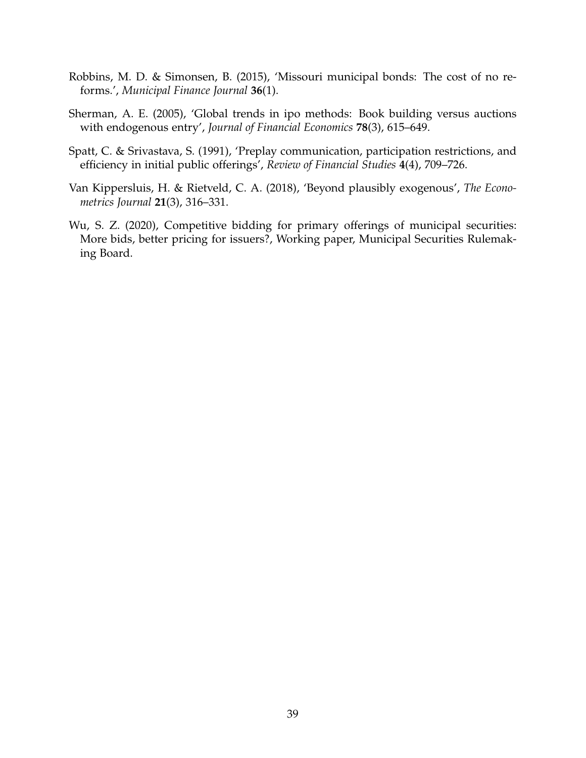- Robbins, M. D. & Simonsen, B. (2015), 'Missouri municipal bonds: The cost of no reforms.', *Municipal Finance Journal* **36**(1).
- Sherman, A. E. (2005), 'Global trends in ipo methods: Book building versus auctions with endogenous entry', *Journal of Financial Economics* **78**(3), 615–649.
- Spatt, C. & Srivastava, S. (1991), 'Preplay communication, participation restrictions, and efficiency in initial public offerings', *Review of Financial Studies* **4**(4), 709–726.
- Van Kippersluis, H. & Rietveld, C. A. (2018), 'Beyond plausibly exogenous', *The Econometrics Journal* **21**(3), 316–331.
- Wu, S. Z. (2020), Competitive bidding for primary offerings of municipal securities: More bids, better pricing for issuers?, Working paper, Municipal Securities Rulemaking Board.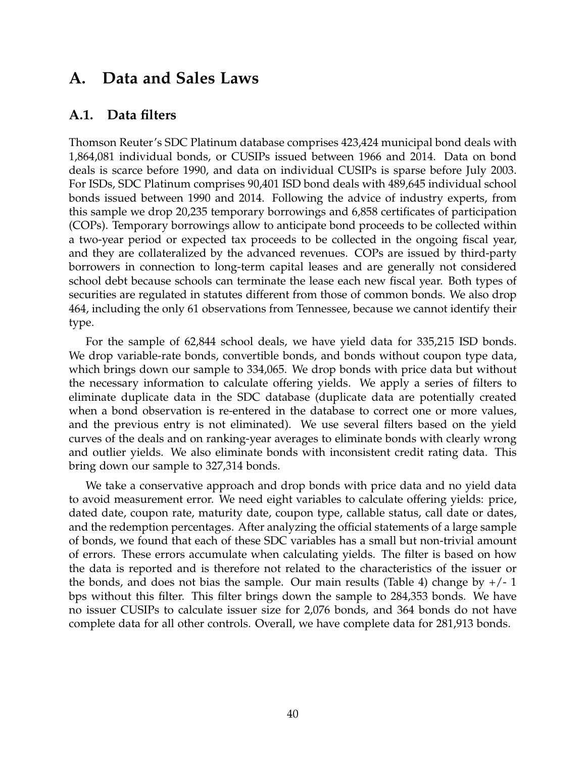### **A. Data and Sales Laws**

#### **A.1. Data filters**

Thomson Reuter's SDC Platinum database comprises 423,424 municipal bond deals with 1,864,081 individual bonds, or CUSIPs issued between 1966 and 2014. Data on bond deals is scarce before 1990, and data on individual CUSIPs is sparse before July 2003. For ISDs, SDC Platinum comprises 90,401 ISD bond deals with 489,645 individual school bonds issued between 1990 and 2014. Following the advice of industry experts, from this sample we drop 20,235 temporary borrowings and 6,858 certificates of participation (COPs). Temporary borrowings allow to anticipate bond proceeds to be collected within a two-year period or expected tax proceeds to be collected in the ongoing fiscal year, and they are collateralized by the advanced revenues. COPs are issued by third-party borrowers in connection to long-term capital leases and are generally not considered school debt because schools can terminate the lease each new fiscal year. Both types of securities are regulated in statutes different from those of common bonds. We also drop 464, including the only 61 observations from Tennessee, because we cannot identify their type.

For the sample of 62,844 school deals, we have yield data for 335,215 ISD bonds. We drop variable-rate bonds, convertible bonds, and bonds without coupon type data, which brings down our sample to 334,065. We drop bonds with price data but without the necessary information to calculate offering yields. We apply a series of filters to eliminate duplicate data in the SDC database (duplicate data are potentially created when a bond observation is re-entered in the database to correct one or more values, and the previous entry is not eliminated). We use several filters based on the yield curves of the deals and on ranking-year averages to eliminate bonds with clearly wrong and outlier yields. We also eliminate bonds with inconsistent credit rating data. This bring down our sample to 327,314 bonds.

We take a conservative approach and drop bonds with price data and no yield data to avoid measurement error. We need eight variables to calculate offering yields: price, dated date, coupon rate, maturity date, coupon type, callable status, call date or dates, and the redemption percentages. After analyzing the official statements of a large sample of bonds, we found that each of these SDC variables has a small but non-trivial amount of errors. These errors accumulate when calculating yields. The filter is based on how the data is reported and is therefore not related to the characteristics of the issuer or the bonds, and does not bias the sample. Our main results (Table 4) change by  $+/-1$ bps without this filter. This filter brings down the sample to 284,353 bonds. We have no issuer CUSIPs to calculate issuer size for 2,076 bonds, and 364 bonds do not have complete data for all other controls. Overall, we have complete data for 281,913 bonds.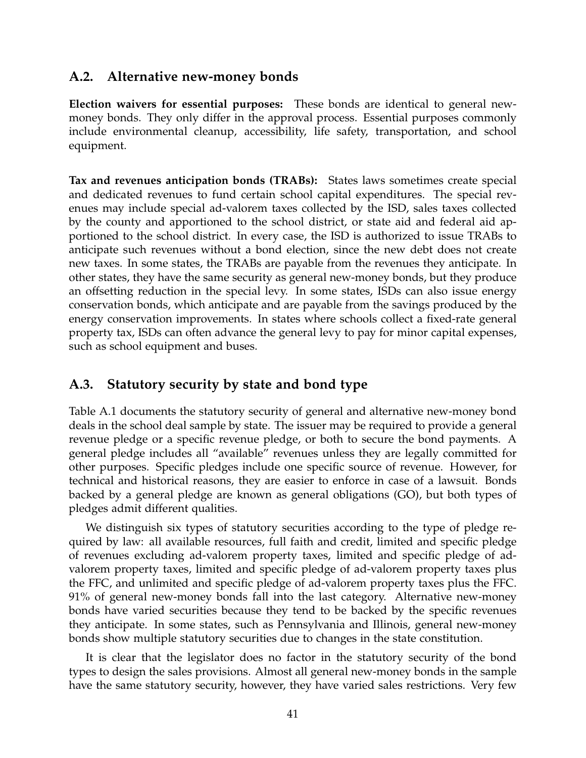#### **A.2. Alternative new-money bonds**

**Election waivers for essential purposes:** These bonds are identical to general newmoney bonds. They only differ in the approval process. Essential purposes commonly include environmental cleanup, accessibility, life safety, transportation, and school equipment.

**Tax and revenues anticipation bonds (TRABs):** States laws sometimes create special and dedicated revenues to fund certain school capital expenditures. The special revenues may include special ad-valorem taxes collected by the ISD, sales taxes collected by the county and apportioned to the school district, or state aid and federal aid apportioned to the school district. In every case, the ISD is authorized to issue TRABs to anticipate such revenues without a bond election, since the new debt does not create new taxes. In some states, the TRABs are payable from the revenues they anticipate. In other states, they have the same security as general new-money bonds, but they produce an offsetting reduction in the special levy. In some states, ISDs can also issue energy conservation bonds, which anticipate and are payable from the savings produced by the energy conservation improvements. In states where schools collect a fixed-rate general property tax, ISDs can often advance the general levy to pay for minor capital expenses, such as school equipment and buses.

#### **A.3. Statutory security by state and bond type**

Table A.1 documents the statutory security of general and alternative new-money bond deals in the school deal sample by state. The issuer may be required to provide a general revenue pledge or a specific revenue pledge, or both to secure the bond payments. A general pledge includes all "available" revenues unless they are legally committed for other purposes. Specific pledges include one specific source of revenue. However, for technical and historical reasons, they are easier to enforce in case of a lawsuit. Bonds backed by a general pledge are known as general obligations (GO), but both types of pledges admit different qualities.

We distinguish six types of statutory securities according to the type of pledge required by law: all available resources, full faith and credit, limited and specific pledge of revenues excluding ad-valorem property taxes, limited and specific pledge of advalorem property taxes, limited and specific pledge of ad-valorem property taxes plus the FFC, and unlimited and specific pledge of ad-valorem property taxes plus the FFC. 91% of general new-money bonds fall into the last category. Alternative new-money bonds have varied securities because they tend to be backed by the specific revenues they anticipate. In some states, such as Pennsylvania and Illinois, general new-money bonds show multiple statutory securities due to changes in the state constitution.

It is clear that the legislator does no factor in the statutory security of the bond types to design the sales provisions. Almost all general new-money bonds in the sample have the same statutory security, however, they have varied sales restrictions. Very few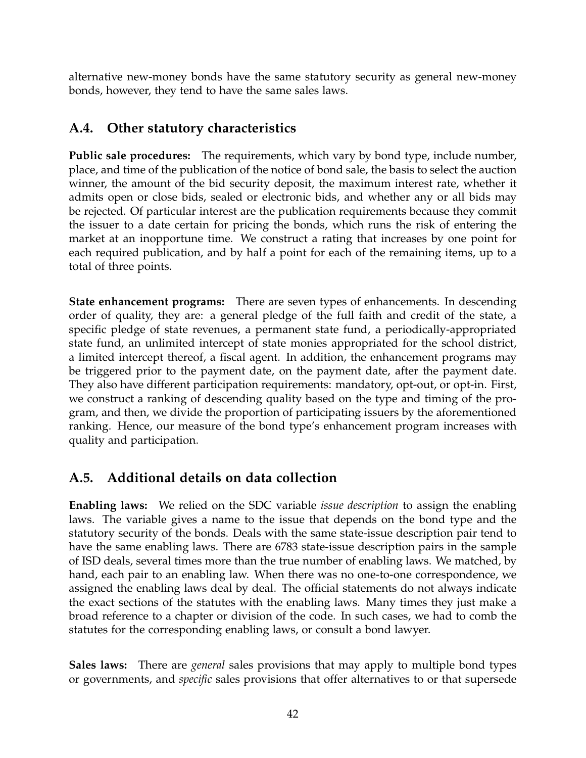alternative new-money bonds have the same statutory security as general new-money bonds, however, they tend to have the same sales laws.

### **A.4. Other statutory characteristics**

**Public sale procedures:** The requirements, which vary by bond type, include number, place, and time of the publication of the notice of bond sale, the basis to select the auction winner, the amount of the bid security deposit, the maximum interest rate, whether it admits open or close bids, sealed or electronic bids, and whether any or all bids may be rejected. Of particular interest are the publication requirements because they commit the issuer to a date certain for pricing the bonds, which runs the risk of entering the market at an inopportune time. We construct a rating that increases by one point for each required publication, and by half a point for each of the remaining items, up to a total of three points.

**State enhancement programs:** There are seven types of enhancements. In descending order of quality, they are: a general pledge of the full faith and credit of the state, a specific pledge of state revenues, a permanent state fund, a periodically-appropriated state fund, an unlimited intercept of state monies appropriated for the school district, a limited intercept thereof, a fiscal agent. In addition, the enhancement programs may be triggered prior to the payment date, on the payment date, after the payment date. They also have different participation requirements: mandatory, opt-out, or opt-in. First, we construct a ranking of descending quality based on the type and timing of the program, and then, we divide the proportion of participating issuers by the aforementioned ranking. Hence, our measure of the bond type's enhancement program increases with quality and participation.

### **A.5. Additional details on data collection**

**Enabling laws:** We relied on the SDC variable *issue description* to assign the enabling laws. The variable gives a name to the issue that depends on the bond type and the statutory security of the bonds. Deals with the same state-issue description pair tend to have the same enabling laws. There are 6783 state-issue description pairs in the sample of ISD deals, several times more than the true number of enabling laws. We matched, by hand, each pair to an enabling law. When there was no one-to-one correspondence, we assigned the enabling laws deal by deal. The official statements do not always indicate the exact sections of the statutes with the enabling laws. Many times they just make a broad reference to a chapter or division of the code. In such cases, we had to comb the statutes for the corresponding enabling laws, or consult a bond lawyer.

**Sales laws:** There are *general* sales provisions that may apply to multiple bond types or governments, and *specific* sales provisions that offer alternatives to or that supersede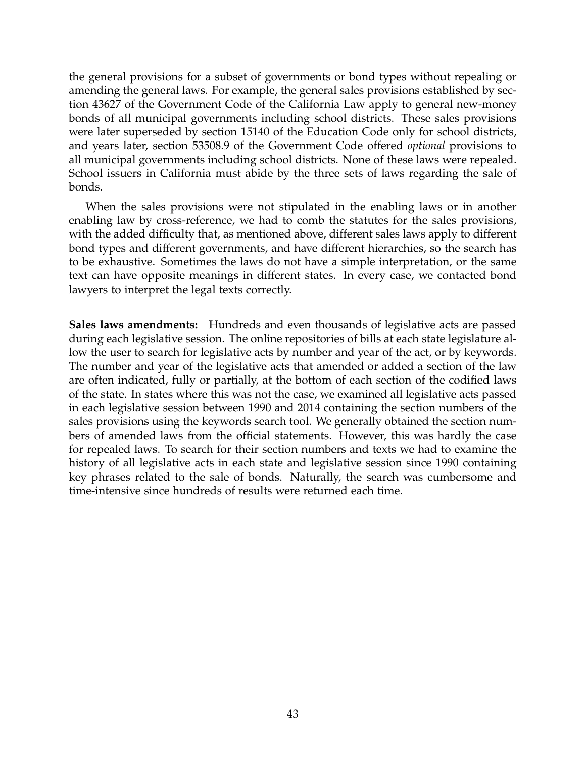the general provisions for a subset of governments or bond types without repealing or amending the general laws. For example, the general sales provisions established by section 43627 of the Government Code of the California Law apply to general new-money bonds of all municipal governments including school districts. These sales provisions were later superseded by section 15140 of the Education Code only for school districts, and years later, section 53508.9 of the Government Code offered *optional* provisions to all municipal governments including school districts. None of these laws were repealed. School issuers in California must abide by the three sets of laws regarding the sale of bonds.

When the sales provisions were not stipulated in the enabling laws or in another enabling law by cross-reference, we had to comb the statutes for the sales provisions, with the added difficulty that, as mentioned above, different sales laws apply to different bond types and different governments, and have different hierarchies, so the search has to be exhaustive. Sometimes the laws do not have a simple interpretation, or the same text can have opposite meanings in different states. In every case, we contacted bond lawyers to interpret the legal texts correctly.

**Sales laws amendments:** Hundreds and even thousands of legislative acts are passed during each legislative session. The online repositories of bills at each state legislature allow the user to search for legislative acts by number and year of the act, or by keywords. The number and year of the legislative acts that amended or added a section of the law are often indicated, fully or partially, at the bottom of each section of the codified laws of the state. In states where this was not the case, we examined all legislative acts passed in each legislative session between 1990 and 2014 containing the section numbers of the sales provisions using the keywords search tool. We generally obtained the section numbers of amended laws from the official statements. However, this was hardly the case for repealed laws. To search for their section numbers and texts we had to examine the history of all legislative acts in each state and legislative session since 1990 containing key phrases related to the sale of bonds. Naturally, the search was cumbersome and time-intensive since hundreds of results were returned each time.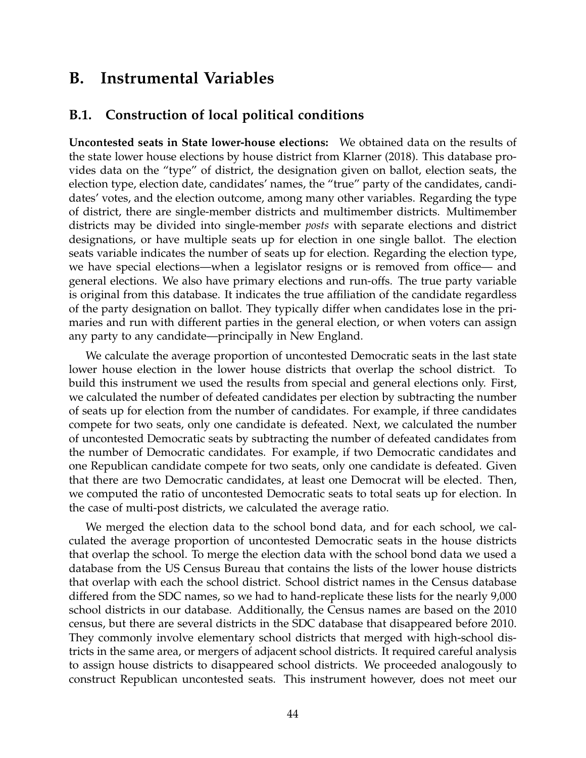### **B. Instrumental Variables**

#### **B.1. Construction of local political conditions**

**Uncontested seats in State lower-house elections:** We obtained data on the results of the state lower house elections by house district from Klarner (2018). This database provides data on the "type" of district, the designation given on ballot, election seats, the election type, election date, candidates' names, the "true" party of the candidates, candidates' votes, and the election outcome, among many other variables. Regarding the type of district, there are single-member districts and multimember districts. Multimember districts may be divided into single-member *posts* with separate elections and district designations, or have multiple seats up for election in one single ballot. The election seats variable indicates the number of seats up for election. Regarding the election type, we have special elections—when a legislator resigns or is removed from office— and general elections. We also have primary elections and run-offs. The true party variable is original from this database. It indicates the true affiliation of the candidate regardless of the party designation on ballot. They typically differ when candidates lose in the primaries and run with different parties in the general election, or when voters can assign any party to any candidate—principally in New England.

We calculate the average proportion of uncontested Democratic seats in the last state lower house election in the lower house districts that overlap the school district. To build this instrument we used the results from special and general elections only. First, we calculated the number of defeated candidates per election by subtracting the number of seats up for election from the number of candidates. For example, if three candidates compete for two seats, only one candidate is defeated. Next, we calculated the number of uncontested Democratic seats by subtracting the number of defeated candidates from the number of Democratic candidates. For example, if two Democratic candidates and one Republican candidate compete for two seats, only one candidate is defeated. Given that there are two Democratic candidates, at least one Democrat will be elected. Then, we computed the ratio of uncontested Democratic seats to total seats up for election. In the case of multi-post districts, we calculated the average ratio.

We merged the election data to the school bond data, and for each school, we calculated the average proportion of uncontested Democratic seats in the house districts that overlap the school. To merge the election data with the school bond data we used a database from the US Census Bureau that contains the lists of the lower house districts that overlap with each the school district. School district names in the Census database differed from the SDC names, so we had to hand-replicate these lists for the nearly 9,000 school districts in our database. Additionally, the Census names are based on the 2010 census, but there are several districts in the SDC database that disappeared before 2010. They commonly involve elementary school districts that merged with high-school districts in the same area, or mergers of adjacent school districts. It required careful analysis to assign house districts to disappeared school districts. We proceeded analogously to construct Republican uncontested seats. This instrument however, does not meet our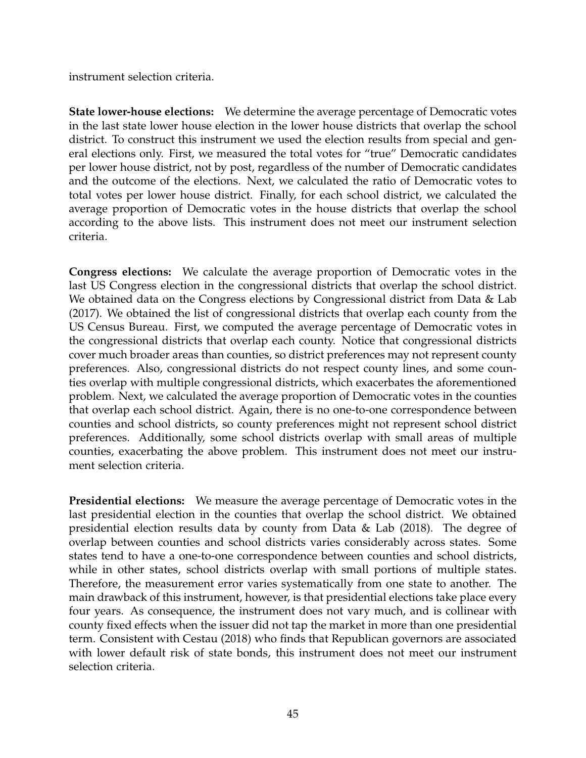instrument selection criteria.

**State lower-house elections:** We determine the average percentage of Democratic votes in the last state lower house election in the lower house districts that overlap the school district. To construct this instrument we used the election results from special and general elections only. First, we measured the total votes for "true" Democratic candidates per lower house district, not by post, regardless of the number of Democratic candidates and the outcome of the elections. Next, we calculated the ratio of Democratic votes to total votes per lower house district. Finally, for each school district, we calculated the average proportion of Democratic votes in the house districts that overlap the school according to the above lists. This instrument does not meet our instrument selection criteria.

**Congress elections:** We calculate the average proportion of Democratic votes in the last US Congress election in the congressional districts that overlap the school district. We obtained data on the Congress elections by Congressional district from Data & Lab (2017). We obtained the list of congressional districts that overlap each county from the US Census Bureau. First, we computed the average percentage of Democratic votes in the congressional districts that overlap each county. Notice that congressional districts cover much broader areas than counties, so district preferences may not represent county preferences. Also, congressional districts do not respect county lines, and some counties overlap with multiple congressional districts, which exacerbates the aforementioned problem. Next, we calculated the average proportion of Democratic votes in the counties that overlap each school district. Again, there is no one-to-one correspondence between counties and school districts, so county preferences might not represent school district preferences. Additionally, some school districts overlap with small areas of multiple counties, exacerbating the above problem. This instrument does not meet our instrument selection criteria.

**Presidential elections:** We measure the average percentage of Democratic votes in the last presidential election in the counties that overlap the school district. We obtained presidential election results data by county from Data & Lab (2018). The degree of overlap between counties and school districts varies considerably across states. Some states tend to have a one-to-one correspondence between counties and school districts, while in other states, school districts overlap with small portions of multiple states. Therefore, the measurement error varies systematically from one state to another. The main drawback of this instrument, however, is that presidential elections take place every four years. As consequence, the instrument does not vary much, and is collinear with county fixed effects when the issuer did not tap the market in more than one presidential term. Consistent with Cestau (2018) who finds that Republican governors are associated with lower default risk of state bonds, this instrument does not meet our instrument selection criteria.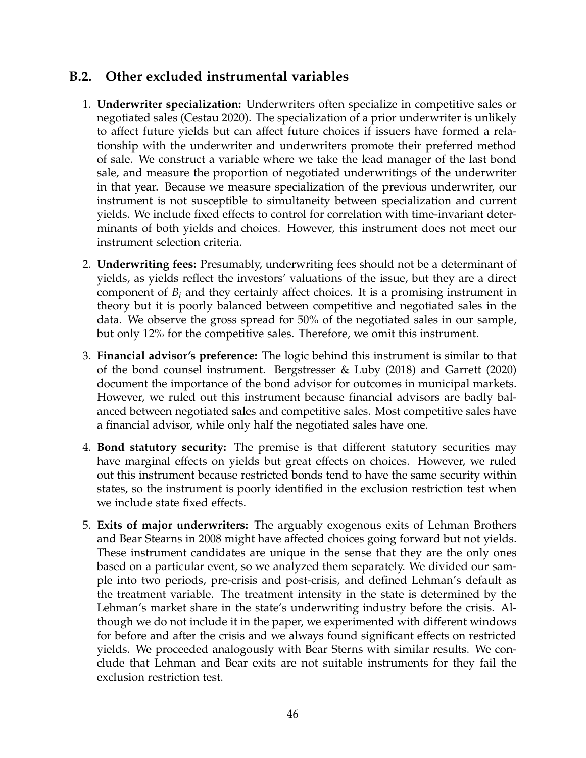#### **B.2. Other excluded instrumental variables**

- 1. **Underwriter specialization:** Underwriters often specialize in competitive sales or negotiated sales (Cestau 2020). The specialization of a prior underwriter is unlikely to affect future yields but can affect future choices if issuers have formed a relationship with the underwriter and underwriters promote their preferred method of sale. We construct a variable where we take the lead manager of the last bond sale, and measure the proportion of negotiated underwritings of the underwriter in that year. Because we measure specialization of the previous underwriter, our instrument is not susceptible to simultaneity between specialization and current yields. We include fixed effects to control for correlation with time-invariant determinants of both yields and choices. However, this instrument does not meet our instrument selection criteria.
- 2. **Underwriting fees:** Presumably, underwriting fees should not be a determinant of yields, as yields reflect the investors' valuations of the issue, but they are a direct component of *B<sup>i</sup>* and they certainly affect choices. It is a promising instrument in theory but it is poorly balanced between competitive and negotiated sales in the data. We observe the gross spread for 50% of the negotiated sales in our sample, but only 12% for the competitive sales. Therefore, we omit this instrument.
- 3. **Financial advisor's preference:** The logic behind this instrument is similar to that of the bond counsel instrument. Bergstresser & Luby (2018) and Garrett (2020) document the importance of the bond advisor for outcomes in municipal markets. However, we ruled out this instrument because financial advisors are badly balanced between negotiated sales and competitive sales. Most competitive sales have a financial advisor, while only half the negotiated sales have one.
- 4. **Bond statutory security:** The premise is that different statutory securities may have marginal effects on yields but great effects on choices. However, we ruled out this instrument because restricted bonds tend to have the same security within states, so the instrument is poorly identified in the exclusion restriction test when we include state fixed effects.
- 5. **Exits of major underwriters:** The arguably exogenous exits of Lehman Brothers and Bear Stearns in 2008 might have affected choices going forward but not yields. These instrument candidates are unique in the sense that they are the only ones based on a particular event, so we analyzed them separately. We divided our sample into two periods, pre-crisis and post-crisis, and defined Lehman's default as the treatment variable. The treatment intensity in the state is determined by the Lehman's market share in the state's underwriting industry before the crisis. Although we do not include it in the paper, we experimented with different windows for before and after the crisis and we always found significant effects on restricted yields. We proceeded analogously with Bear Sterns with similar results. We conclude that Lehman and Bear exits are not suitable instruments for they fail the exclusion restriction test.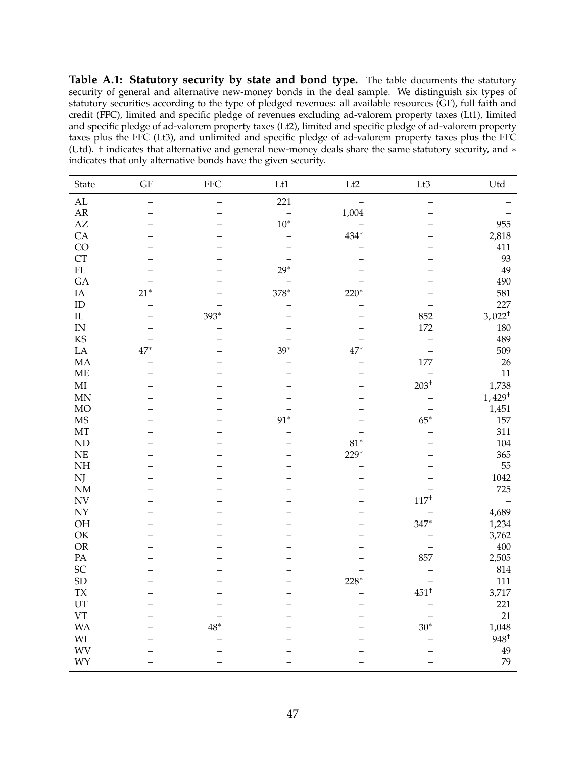**Table A.1: Statutory security by state and bond type.** The table documents the statutory security of general and alternative new-money bonds in the deal sample. We distinguish six types of statutory securities according to the type of pledged revenues: all available resources (GF), full faith and credit (FFC), limited and specific pledge of revenues excluding ad-valorem property taxes (Lt1), limited and specific pledge of ad-valorem property taxes (Lt2), limited and specific pledge of ad-valorem property taxes plus the FFC (Lt3), and unlimited and specific pledge of ad-valorem property taxes plus the FFC (Utd). † indicates that alternative and general new-money deals share the same statutory security, and ∗ indicates that only alternative bonds have the given security.

| State                    | $\operatorname{GF}$ | <b>FFC</b>        | Lt1          | Lt2          | $\rm Lt3$                | Utd               |
|--------------------------|---------------------|-------------------|--------------|--------------|--------------------------|-------------------|
| $\mathbf{AL}$            |                     | $\qquad \qquad -$ | 221          |              | $\overline{\phantom{0}}$ |                   |
| ${\sf AR}$               |                     |                   |              | 1,004        |                          |                   |
| $\mathbf{A}\mathbf{Z}$   |                     |                   | $10^{\ast}$  |              |                          | 955               |
| CA                       |                     |                   |              | $434^{\ast}$ |                          | 2,818             |
| CO                       |                     |                   |              |              |                          | 411               |
| <b>CT</b>                |                     |                   |              |              |                          | 93                |
| $\rm FL$                 |                     |                   | $29^{\ast}$  |              |                          | 49                |
| GA                       |                     |                   |              |              |                          | 490               |
| $\rm IA$                 | $21*$               |                   | $378^{\ast}$ | $220*$       |                          | 581               |
| ${\rm ID}$               |                     |                   |              |              |                          | 227               |
| $\rm IL$                 |                     | 393*              |              |              | 852                      | $3,022^+$         |
| IN                       |                     | —                 |              |              | 172                      | 180               |
| KS                       |                     |                   |              |              | $\overline{\phantom{0}}$ | 489               |
| ${\rm LA}$               | $47*$               |                   | $39*$        | $47*$        |                          | 509               |
| MA                       |                     |                   |              |              | 177                      | 26                |
| $\operatorname{ME}$      |                     |                   |              |              |                          | 11                |
| $\mathbf{M}\mathbf{I}$   |                     |                   |              |              | $203^{\dagger}$          | 1,738             |
| <b>MN</b>                |                     |                   |              |              |                          | $1,429^{\dagger}$ |
| $_{\rm MO}$              |                     |                   |              |              |                          | 1,451             |
| <b>MS</b>                |                     |                   | $91*$        |              | $65^*$                   | 157               |
| $\rm{MT}$                |                     |                   |              |              |                          | 311               |
| ND                       |                     |                   |              | $81^{\ast}$  |                          | 104               |
| NE                       |                     |                   |              | $229*$       |                          | 365               |
| $\rm NH$                 |                     |                   |              |              |                          | 55                |
| NJ                       |                     |                   |              |              |                          | 1042              |
| NM                       |                     |                   |              |              |                          | 725               |
| $\ensuremath{\text{NV}}$ |                     |                   |              |              | $117^{\dagger}$          | $\qquad \qquad -$ |
| ${\rm NY}$               |                     |                   |              |              |                          | 4,689             |
| OH                       |                     |                   |              |              | $347*$                   | 1,234             |
| $\mathrm{OK}$            |                     |                   |              |              |                          | 3,762             |
| $\mathcal{O}\mathbb{R}$  |                     |                   |              |              |                          | 400               |
| PA                       |                     |                   |              |              | 857                      | 2,505             |
| SC                       |                     |                   |              |              |                          | 814               |
| SD                       |                     |                   |              | $228*$       |                          | 111               |
| <b>TX</b>                |                     |                   |              |              | $451^+$                  | 3,717             |
| UT                       |                     |                   |              |              |                          | 221               |
| VT                       |                     |                   |              |              |                          | 21                |
| <b>WA</b>                |                     | $48^*$            |              |              | $30*$                    | 1,048             |
| $\mathbf{W}\mathbf{I}$   |                     |                   |              |              |                          | $948^{\dagger}$   |
| <b>WV</b>                |                     |                   |              |              |                          | 49                |
| WY                       |                     |                   |              |              |                          | 79                |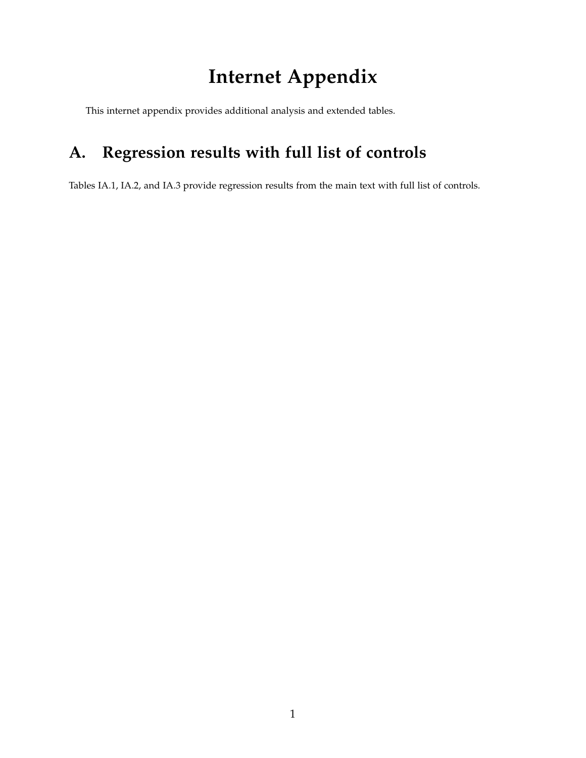# **Internet Appendix**

This internet appendix provides additional analysis and extended tables.

# **A. Regression results with full list of controls**

Tables IA.1, IA.2, and IA.3 provide regression results from the main text with full list of controls.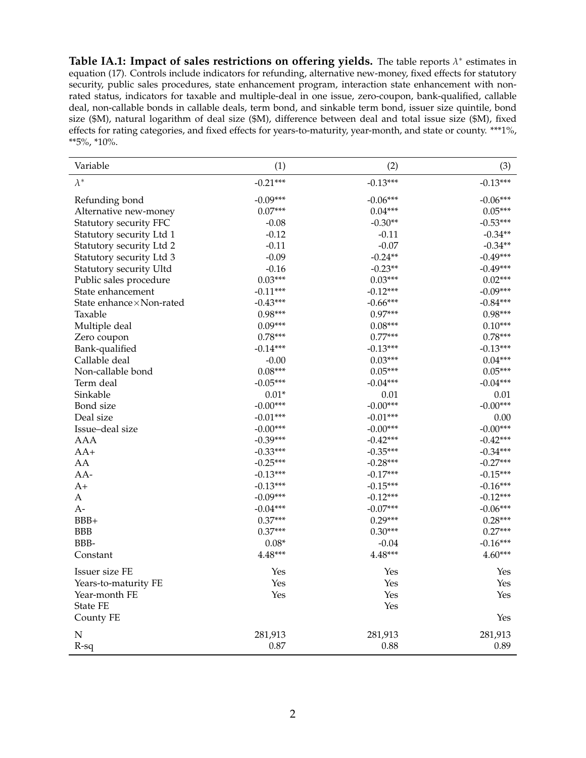**Table IA.1: Impact of sales restrictions on offering yields.** The table reports *λ* ∗ estimates in equation (17). Controls include indicators for refunding, alternative new-money, fixed effects for statutory security, public sales procedures, state enhancement program, interaction state enhancement with nonrated status, indicators for taxable and multiple-deal in one issue, zero-coupon, bank-qualified, callable deal, non-callable bonds in callable deals, term bond, and sinkable term bond, issuer size quintile, bond size (\$M), natural logarithm of deal size (\$M), difference between deal and total issue size (\$M), fixed effects for rating categories, and fixed effects for years-to-maturity, year-month, and state or county. \*\*\*1%, \*\*5%, \*10%.

| Variable                  | (1)        | (2)        | (3)        |
|---------------------------|------------|------------|------------|
| $\lambda^*$               | $-0.21***$ | $-0.13***$ | $-0.13***$ |
| Refunding bond            | $-0.09***$ | $-0.06***$ | $-0.06***$ |
| Alternative new-money     | $0.07***$  | $0.04***$  | $0.05***$  |
| Statutory security FFC    | $-0.08$    | $-0.30**$  | $-0.53***$ |
| Statutory security Ltd 1  | $-0.12$    | $-0.11$    | $-0.34**$  |
| Statutory security Ltd 2  | $-0.11$    | $-0.07$    | $-0.34**$  |
| Statutory security Ltd 3  | $-0.09$    | $-0.24**$  | $-0.49***$ |
| Statutory security Ultd   | $-0.16$    | $-0.23**$  | $-0.49***$ |
| Public sales procedure    | $0.03***$  | $0.03***$  | $0.02***$  |
| State enhancement         | $-0.11***$ | $-0.12***$ | $-0.09***$ |
| State enhance × Non-rated | $-0.43***$ | $-0.66***$ | $-0.84***$ |
| Taxable                   | $0.98***$  | $0.97***$  | $0.98***$  |
| Multiple deal             | $0.09***$  | $0.08***$  | $0.10***$  |
| Zero coupon               | $0.78***$  | $0.77***$  | $0.78***$  |
| Bank-qualified            | $-0.14***$ | $-0.13***$ | $-0.13***$ |
| Callable deal             | $-0.00$    | $0.03***$  | $0.04***$  |
| Non-callable bond         | $0.08***$  | $0.05***$  | $0.05***$  |
| Term deal                 | $-0.05***$ | $-0.04***$ | $-0.04***$ |
| Sinkable                  | $0.01*$    | 0.01       | 0.01       |
| Bond size                 | $-0.00***$ | $-0.00***$ | $-0.00***$ |
| Deal size                 | $-0.01***$ | $-0.01***$ | 0.00       |
| Issue-deal size           | $-0.00***$ | $-0.00***$ | $-0.00***$ |
| <b>AAA</b>                | $-0.39***$ | $-0.42***$ | $-0.42***$ |
| $AA+$                     | $-0.33***$ | $-0.35***$ | $-0.34***$ |
| AA                        | $-0.25***$ | $-0.28***$ | $-0.27***$ |
| AA-                       | $-0.13***$ | $-0.17***$ | $-0.15***$ |
| $A+$                      | $-0.13***$ | $-0.15***$ | $-0.16***$ |
| A                         | $-0.09***$ | $-0.12***$ | $-0.12***$ |
| A-                        | $-0.04***$ | $-0.07***$ | $-0.06***$ |
| BBB+                      | $0.37***$  | $0.29***$  | $0.28***$  |
| <b>BBB</b>                | $0.37***$  | $0.30***$  | $0.27***$  |
| BBB-                      | $0.08*$    | $-0.04$    | $-0.16***$ |
| Constant                  | 4.48***    | $4.48***$  | $4.60***$  |
| Issuer size FE            | Yes        | Yes        | Yes        |
| Years-to-maturity FE      | Yes        | Yes        | Yes        |
| Year-month FE             | Yes        | Yes        | Yes        |
| State FE                  |            | Yes        |            |
| County FE                 |            |            | Yes        |
| ${\bf N}$                 | 281,913    | 281,913    | 281,913    |
| $R-sq$                    | 0.87       | 0.88       | 0.89       |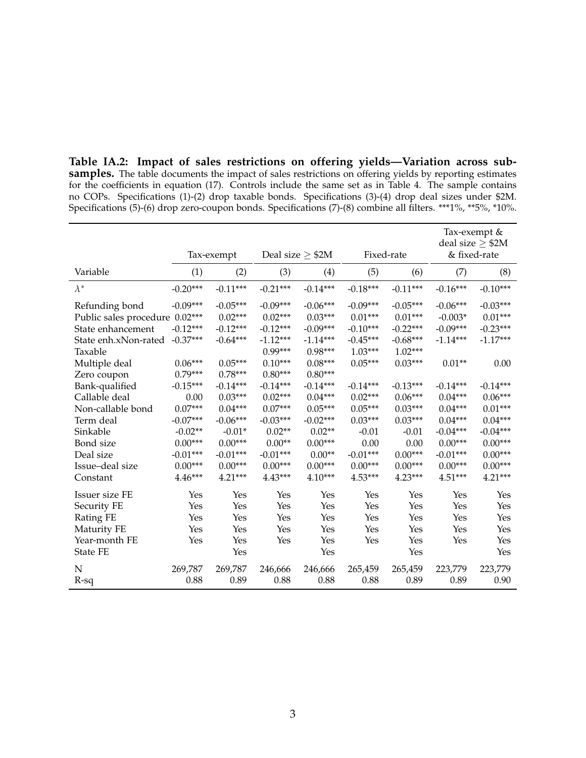**Table IA.2: Impact of sales restrictions on offering yields—Variation across sub**samples. The table documents the impact of sales restrictions on offering yields by reporting estimates for the coefficients in equation (17). Controls include the same set as in Table 4. The sample contains no COPs. Specifications (1)-(2) drop taxable bonds. Specifications (3)-(4) drop deal sizes under \$2M. Specifications (5)-(6) drop zero-coupon bonds. Specifications (7)-(8) combine all filters. \*\*\*1%, \*\*5%, \*10%.

|                                |            |            |            |                       |            | Tax-exempt &<br>deal size $\geq$ \$2M |            |              |  |
|--------------------------------|------------|------------|------------|-----------------------|------------|---------------------------------------|------------|--------------|--|
|                                |            | Tax-exempt |            | Deal size $\geq$ \$2M |            | Fixed-rate                            |            | & fixed-rate |  |
| Variable                       | (1)        | (2)        | (3)        | (4)                   | (5)        | (6)                                   | (7)        | (8)          |  |
| $\lambda^*$                    | $-0.20***$ | $-0.11***$ | $-0.21***$ | $-0.14***$            | $-0.18***$ | $-0.11***$                            | $-0.16***$ | $-0.10***$   |  |
| Refunding bond                 | $-0.09***$ | $-0.05***$ | $-0.09***$ | $-0.06***$            | $-0.09***$ | $-0.05***$                            | $-0.06***$ | $-0.03***$   |  |
| Public sales procedure 0.02*** |            | $0.02***$  | $0.02***$  | $0.03***$             | $0.01***$  | $0.01***$                             | $-0.003*$  | $0.01***$    |  |
| State enhancement              | $-0.12***$ | $-0.12***$ | $-0.12***$ | $-0.09***$            | $-0.10***$ | $-0.22***$                            | $-0.09***$ | $-0.23***$   |  |
| State enh.xNon-rated           | $-0.37***$ | $-0.64***$ | $-1.12***$ | $-1.14***$            | $-0.45***$ | $-0.68***$                            | $-1.14***$ | $-1.17***$   |  |
| Taxable                        |            |            | 0.99***    | $0.98***$             | $1.03***$  | $1.02***$                             |            |              |  |
| Multiple deal                  | $0.06***$  | $0.05***$  | $0.10***$  | $0.08***$             | $0.05***$  | $0.03***$                             | $0.01**$   | 0.00         |  |
| Zero coupon                    | $0.79***$  | $0.78***$  | $0.80***$  | $0.80***$             |            |                                       |            |              |  |
| Bank-qualified                 | $-0.15***$ | $-0.14***$ | $-0.14***$ | $-0.14***$            | $-0.14***$ | $-0.13***$                            | $-0.14***$ | $-0.14***$   |  |
| Callable deal                  | 0.00       | $0.03***$  | $0.02***$  | $0.04***$             | $0.02***$  | $0.06***$                             | $0.04***$  | $0.06***$    |  |
| Non-callable bond              | $0.07***$  | $0.04***$  | $0.07***$  | $0.05***$             | $0.05***$  | $0.03***$                             | $0.04***$  | $0.01***$    |  |
| Term deal                      | $-0.07***$ | $-0.06***$ | $-0.03***$ | $-0.02***$            | $0.03***$  | $0.03***$                             | $0.04***$  | $0.04***$    |  |
| Sinkable                       | $-0.02**$  | $-0.01*$   | $0.02**$   | $0.02**$              | $-0.01$    | $-0.01$                               | $-0.04***$ | $-0.04***$   |  |
| Bond size                      | $0.00***$  | $0.00***$  | $0.00**$   | $0.00***$             | 0.00       | 0.00                                  | $0.00***$  | $0.00***$    |  |
| Deal size                      | $-0.01***$ | $-0.01***$ | $-0.01***$ | $0.00**$              | $-0.01***$ | $0.00***$                             | $-0.01***$ | $0.00***$    |  |
| Issue-deal size                | $0.00***$  | $0.00***$  | $0.00***$  | $0.00***$             | $0.00***$  | $0.00***$                             | $0.00***$  | $0.00***$    |  |
| Constant                       | 4.46***    | $4.21***$  | $4.43***$  | $4.10***$             | 4.53***    | $4.23***$                             | 4.51***    | $4.21***$    |  |
| Issuer size FE                 | Yes        | Yes        | Yes        | Yes                   | Yes        | Yes                                   | Yes        | Yes          |  |
| Security FE                    | Yes        | Yes        | Yes        | Yes                   | Yes        | Yes                                   | Yes        | Yes          |  |
| Rating FE                      | Yes        | Yes        | Yes        | Yes                   | Yes        | Yes                                   | Yes        | Yes          |  |
| Maturity FE                    | Yes        | Yes        | Yes        | Yes                   | Yes        | Yes                                   | Yes        | Yes          |  |
| Year-month FE                  | Yes        | Yes        | Yes        | Yes                   | Yes        | Yes                                   | Yes        | Yes          |  |
| <b>State FE</b>                |            | Yes        |            | Yes                   |            | Yes                                   |            | Yes          |  |
| N                              | 269,787    | 269,787    | 246,666    | 246,666               | 265,459    | 265,459                               | 223,779    | 223,779      |  |
| R-sq                           | 0.88       | 0.89       | 0.88       | 0.88                  | 0.88       | 0.89                                  | 0.89       | 0.90         |  |